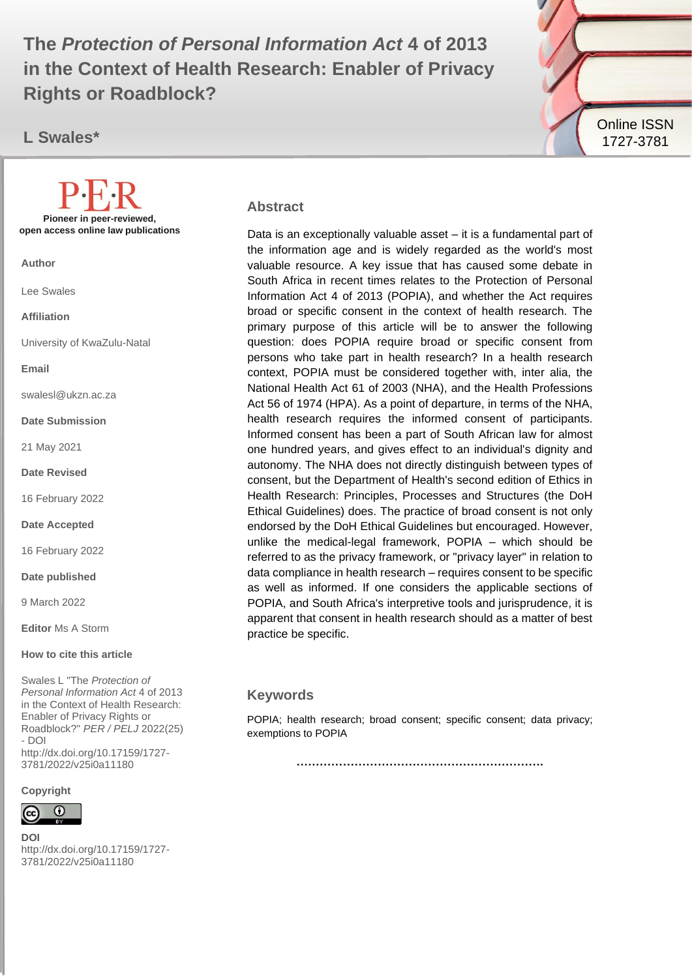The Protection of Personal Information Act 4 of 2013 **in the Context of Health Research: Enabler of Privacy Rights or Roadblock?**

**L Swales\***



#### **Abstract**

Data is an exceptionally valuable asset – it is a fundamental part of the information age and is widely regarded as the world's most valuable resource. A key issue that has caused some debate in South Africa in recent times relates to the Protection of Personal Information Act 4 of 2013 (POPIA), and whether the Act requires broad or specific consent in the context of health research. The primary purpose of this article will be to answer the following question: does POPIA require broad or specific consent from persons who take part in health research? In a health research context, POPIA must be considered together with, inter alia, the National Health Act 61 of 2003 (NHA), and the Health Professions Act 56 of 1974 (HPA). As a point of departure, in terms of the NHA, health research requires the informed consent of participants. Informed consent has been a part of South African law for almost one hundred years, and gives effect to an individual's dignity and autonomy. The NHA does not directly distinguish between types of consent, but the Department of Health's second edition of Ethics in Health Research: Principles, Processes and Structures (the DoH Ethical Guidelines) does. The practice of broad consent is not only endorsed by the DoH Ethical Guidelines but encouraged. However, unlike the medical-legal framework, POPIA – which should be referred to as the privacy framework, or "privacy layer" in relation to data compliance in health research – requires consent to be specific as well as informed. If one considers the applicable sections of POPIA, and South Africa's interpretive tools and jurisprudence, it is apparent that consent in health research should as a matter of best practice be specific.

#### **Keywords**

POPIA; health research; broad consent; specific consent; data privacy; exemptions to POPIA

**……………………………………………………….**

**Pioneer in peer-reviewed, open access online law publications**

**Author**

Lee Swales

**Affiliation**

University of KwaZulu-Natal

**Email**

swalesl@ukzn.ac.za

**Date Submission**

21 May 2021

**Date Revised**

16 February 2022

**Date Accepted**

16 February 2022

**Date published**

9 March 2022

**Editor** Ms A Storm

**How to cite this article** 

Swales L "The *Protection of Personal Information Act* 4 of 2013 in the Context of Health Research: Enabler of Privacy Rights or Roadblock?" *PER / PELJ* 2022(25) - DOI http://dx.doi.org/10.17159/1727- 3781/2022/v25i0a11180

**Copyright**



**DOI**  http://dx.doi.org/10.17159/1727- 3781/2022/v25i0a11180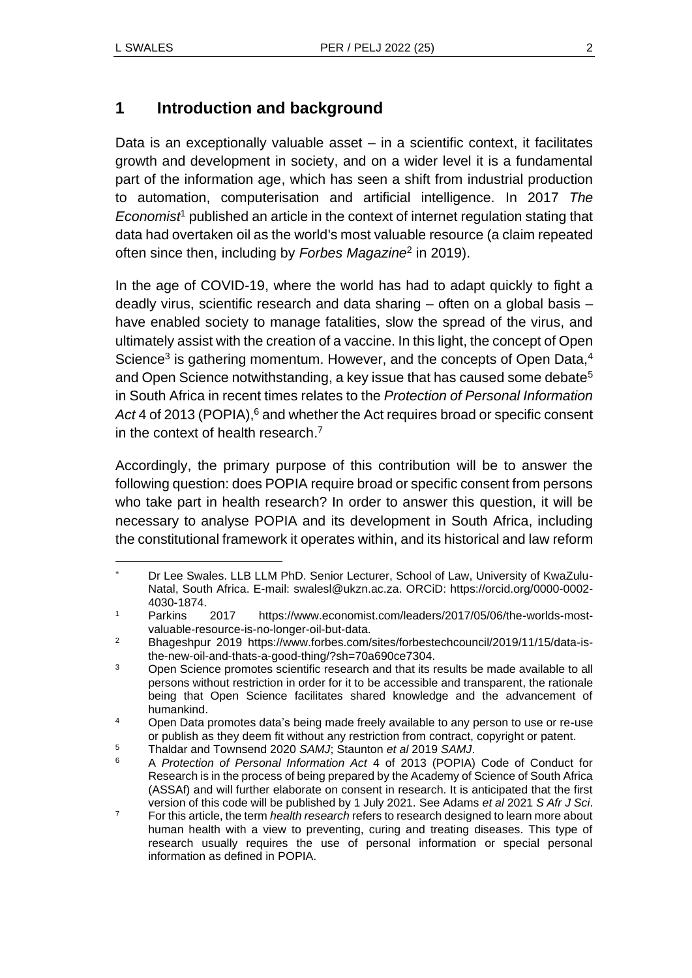## **1 Introduction and background**

Data is an exceptionally valuable asset – in a scientific context, it facilitates growth and development in society, and on a wider level it is a fundamental part of the information age, which has seen a shift from industrial production to automation, computerisation and artificial intelligence. In 2017 *The Economist<sup>1</sup>* published an article in the context of internet regulation stating that data had overtaken oil as the world's most valuable resource (a claim repeated often since then, including by *Forbes Magazine*<sup>2</sup> in 2019).

In the age of COVID-19, where the world has had to adapt quickly to fight a deadly virus, scientific research and data sharing – often on a global basis – have enabled society to manage fatalities, slow the spread of the virus, and ultimately assist with the creation of a vaccine. In this light, the concept of Open Science<sup>3</sup> is gathering momentum. However, and the concepts of Open Data,<sup>4</sup> and Open Science notwithstanding, a key issue that has caused some debate<sup>5</sup> in South Africa in recent times relates to the *Protection of Personal Information*  Act<sup>4</sup> of 2013 (POPIA),<sup>6</sup> and whether the Act requires broad or specific consent in the context of health research.<sup>7</sup>

Accordingly, the primary purpose of this contribution will be to answer the following question: does POPIA require broad or specific consent from persons who take part in health research? In order to answer this question, it will be necessary to analyse POPIA and its development in South Africa, including the constitutional framework it operates within, and its historical and law reform

Dr Lee Swales. LLB LLM PhD. Senior Lecturer, School of Law, University of KwaZulu-Natal, South Africa. E-mail: [swalesl@ukzn.ac.za.](mailto:swalesl@ukzn.ac.za) ORCiD: https://orcid.org/0000-0002- 4030-1874.

<sup>1</sup> Parkins 2017 https://www.economist.com/leaders/2017/05/06/the-worlds-mostvaluable-resource-is-no-longer-oil-but-data.

<sup>2</sup> Bhageshpur 2019 https://www.forbes.com/sites/forbestechcouncil/2019/11/15/data-isthe-new-oil-and-thats-a-good-thing/?sh=70a690ce7304.

<sup>&</sup>lt;sup>3</sup> Open Science promotes scientific research and that its results be made available to all persons without restriction in order for it to be accessible and transparent, the rationale being that Open Science facilitates shared knowledge and the advancement of humankind.

<sup>&</sup>lt;sup>4</sup> Open Data promotes data's being made freely available to any person to use or re-use or publish as they deem fit without any restriction from contract, copyright or patent.

<sup>5</sup> Thaldar and Townsend 2020 *SAMJ*; Staunton *et al* 2019 *SAMJ*.

<sup>6</sup> A *Protection of Personal Information Act* 4 of 2013 (POPIA) Code of Conduct for Research is in the process of being prepared by the Academy of Science of South Africa (ASSAf) and will further elaborate on consent in research. It is anticipated that the first version of this code will be published by 1 July 2021. See Adams *et al* 2021 *S Afr J Sci*.

<sup>7</sup> For this article, the term *health research* refers to research designed to learn more about human health with a view to preventing, curing and treating diseases. This type of research usually requires the use of personal information or special personal information as defined in POPIA.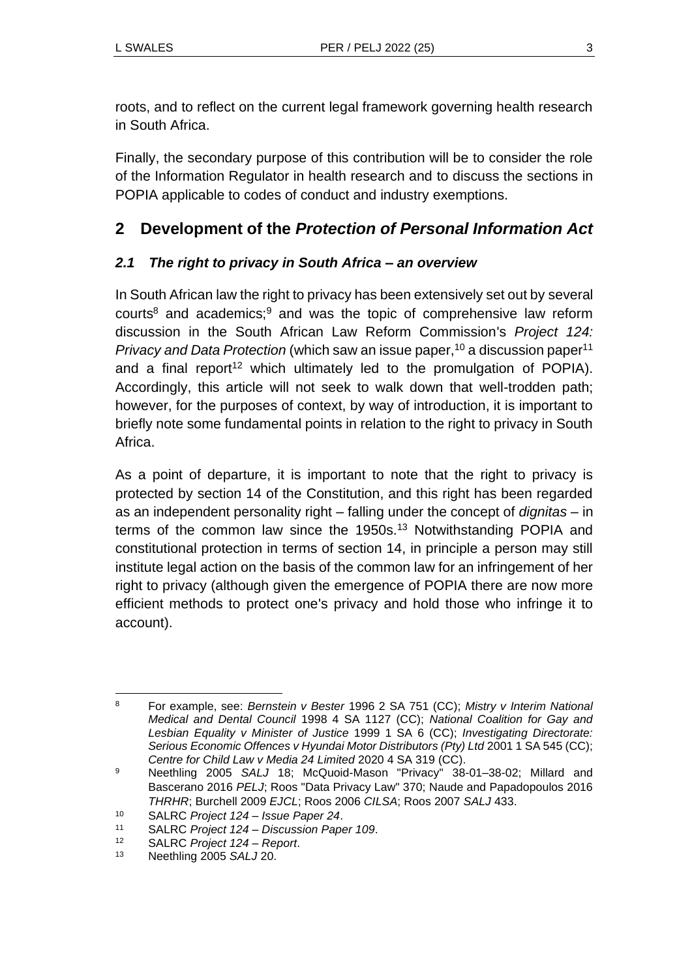roots, and to reflect on the current legal framework governing health research in South Africa.

Finally, the secondary purpose of this contribution will be to consider the role of the Information Regulator in health research and to discuss the sections in POPIA applicable to codes of conduct and industry exemptions.

## **2 Development of the** *Protection of Personal Information Act*

### *2.1 The right to privacy in South Africa – an overview*

In South African law the right to privacy has been extensively set out by several courts<sup>8</sup> and academics;<sup>9</sup> and was the topic of comprehensive law reform discussion in the South African Law Reform Commission's *Project 124: Privacy and Data Protection* (which saw an issue paper,<sup>10</sup> a discussion paper<sup>11</sup> and a final report<sup>12</sup> which ultimately led to the promulgation of POPIA). Accordingly, this article will not seek to walk down that well-trodden path; however, for the purposes of context, by way of introduction, it is important to briefly note some fundamental points in relation to the right to privacy in South Africa.

As a point of departure, it is important to note that the right to privacy is protected by section 14 of the Constitution, and this right has been regarded as an independent personality right – falling under the concept of *dignitas* – in terms of the common law since the 1950s.<sup>13</sup> Notwithstanding POPIA and constitutional protection in terms of section 14, in principle a person may still institute legal action on the basis of the common law for an infringement of her right to privacy (although given the emergence of POPIA there are now more efficient methods to protect one's privacy and hold those who infringe it to account).

<sup>8</sup> For example, see: *Bernstein v Bester* 1996 2 SA 751 (CC); *Mistry v Interim National Medical and Dental Council* 1998 4 SA 1127 (CC); *National Coalition for Gay and Lesbian Equality v Minister of Justice* 1999 1 SA 6 (CC); *Investigating Directorate: Serious Economic Offences v Hyundai Motor Distributors (Pty) Ltd* 2001 1 SA 545 (CC); *Centre for Child Law v Media 24 Limited* 2020 4 SA 319 (CC).

<sup>9</sup> Neethling 2005 *SALJ* 18; McQuoid-Mason "Privacy" 38-01–38-02; Millard and Bascerano 2016 *PELJ*; Roos "Data Privacy Law" 370; Naude and Papadopoulos 2016 *THRHR*; Burchell 2009 *EJCL*; Roos 2006 *CILSA*; Roos 2007 *SALJ* 433.

<sup>10</sup> SALRC *Project 124 – Issue Paper 24*.

<sup>11</sup> SALRC *Project 124 – Discussion Paper 109*.

<sup>12</sup> SALRC *Project 124 – Report*.

<sup>13</sup> Neethling 2005 *SALJ* 20.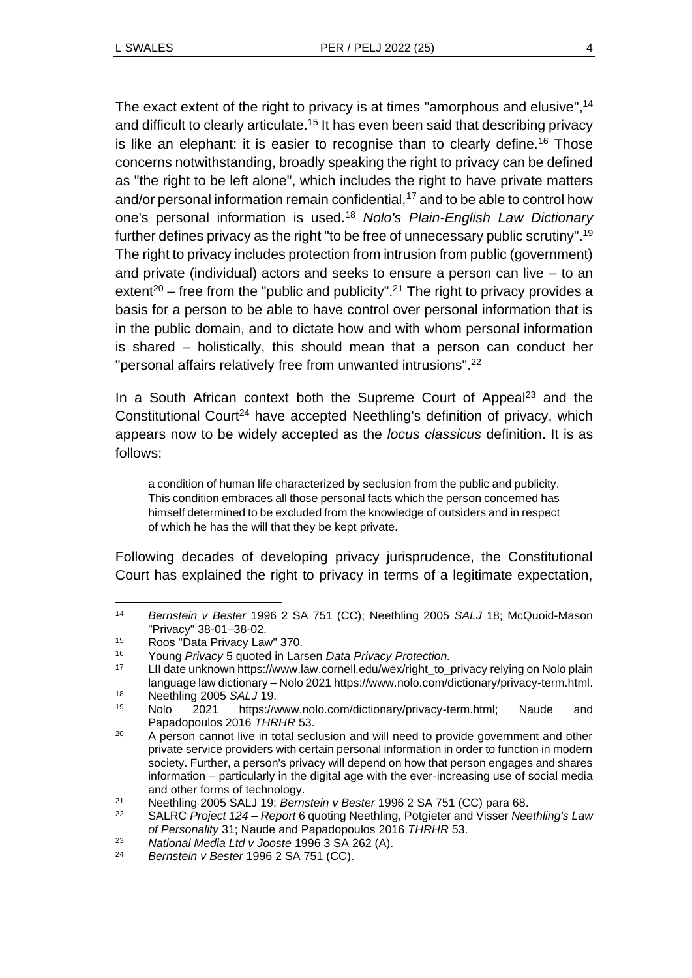The exact extent of the right to privacy is at times "amorphous and elusive",<sup>14</sup> and difficult to clearly articulate.<sup>15</sup> It has even been said that describing privacy is like an elephant: it is easier to recognise than to clearly define.<sup>16</sup> Those concerns notwithstanding, broadly speaking the right to privacy can be defined as "the right to be left alone", which includes the right to have private matters and/or personal information remain confidential, $17$  and to be able to control how one's personal information is used.<sup>18</sup> *Nolo's Plain-English Law Dictionary*  further defines privacy as the right "to be free of unnecessary public scrutiny". 19 The right to privacy includes protection from intrusion from public (government) and private (individual) actors and seeks to ensure a person can live – to an extent<sup>20</sup> – free from the "public and publicity".<sup>21</sup> The right to privacy provides a basis for a person to be able to have control over personal information that is in the public domain, and to dictate how and with whom personal information is shared – holistically, this should mean that a person can conduct her "personal affairs relatively free from unwanted intrusions". 22

In a South African context both the Supreme Court of Appeal<sup>23</sup> and the Constitutional Court<sup>24</sup> have accepted Neethling's definition of privacy, which appears now to be widely accepted as the *locus classicus* definition. It is as follows:

a condition of human life characterized by seclusion from the public and publicity. This condition embraces all those personal facts which the person concerned has himself determined to be excluded from the knowledge of outsiders and in respect of which he has the will that they be kept private.

Following decades of developing privacy jurisprudence, the Constitutional Court has explained the right to privacy in terms of a legitimate expectation,

<sup>14</sup> *Bernstein v Bester* 1996 2 SA 751 (CC); Neethling 2005 *SALJ* 18; McQuoid-Mason "Privacy" 38-01–38-02.

<sup>&</sup>lt;sup>15</sup> Roos "Data Privacy Law" 370.<br>16 Young *Privacy* 5 quoted in Lar

<sup>16</sup> Young *Privacy* 5 quoted in Larsen *Data Privacy Protection.*

LII date unknown https://www.law.cornell.edu/wex/right\_to\_privacy relying on Nolo plain language law dictionary – Nolo 2021 https://www.nolo.com/dictionary/privacy-term.html.

<sup>&</sup>lt;sup>18</sup> Neethling 2005 *SALJ* 19.

<sup>19</sup> Nolo 2021 https://www.nolo.com/dictionary/privacy-term.html; Naude and Papadopoulos 2016 *THRHR* 53.

<sup>&</sup>lt;sup>20</sup> A person cannot live in total seclusion and will need to provide government and other private service providers with certain personal information in order to function in modern society. Further, a person's privacy will depend on how that person engages and shares information – particularly in the digital age with the ever-increasing use of social media and other forms of technology.

<sup>21</sup> Neethling 2005 SALJ 19; *Bernstein v Bester* 1996 2 SA 751 (CC) para 68.

<sup>22</sup> SALRC *Project 124 – Report* 6 quoting Neethling, Potgieter and Visser *Neethling's Law of Personality* 31; Naude and Papadopoulos 2016 *THRHR* 53.

<sup>23</sup> *National Media Ltd v Jooste* 1996 3 SA 262 (A).

<sup>24</sup> *Bernstein v Bester* 1996 2 SA 751 (CC).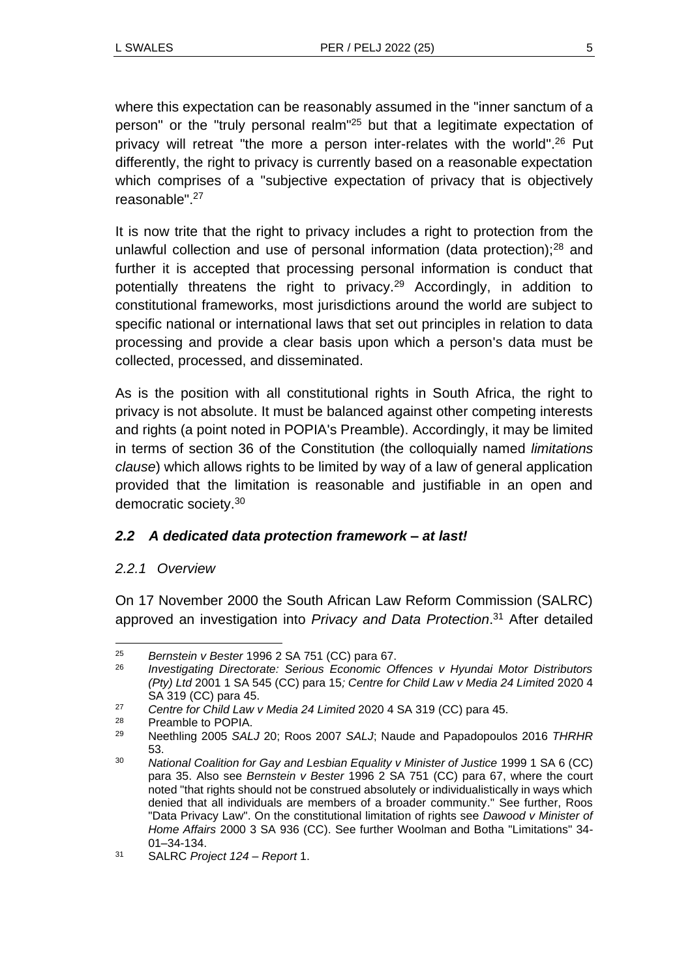where this expectation can be reasonably assumed in the "inner sanctum of a person" or the "truly personal realm" <sup>25</sup> but that a legitimate expectation of privacy will retreat "the more a person inter-relates with the world".<sup>26</sup> Put differently, the right to privacy is currently based on a reasonable expectation which comprises of a "subjective expectation of privacy that is objectively reasonable". 27

It is now trite that the right to privacy includes a right to protection from the unlawful collection and use of personal information (data protection);<sup>28</sup> and further it is accepted that processing personal information is conduct that potentially threatens the right to privacy.<sup>29</sup> Accordingly, in addition to constitutional frameworks, most jurisdictions around the world are subject to specific national or international laws that set out principles in relation to data processing and provide a clear basis upon which a person's data must be collected, processed, and disseminated.

As is the position with all constitutional rights in South Africa, the right to privacy is not absolute. It must be balanced against other competing interests and rights (a point noted in POPIA's Preamble). Accordingly, it may be limited in terms of section 36 of the Constitution (the colloquially named *limitations clause*) which allows rights to be limited by way of a law of general application provided that the limitation is reasonable and justifiable in an open and democratic society.<sup>30</sup>

#### *2.2 A dedicated data protection framework – at last!*

#### *2.2.1 Overview*

On 17 November 2000 the South African Law Reform Commission (SALRC) approved an investigation into *Privacy and Data Protection*. <sup>31</sup> After detailed

Preamble to POPIA.

<sup>25</sup> *Bernstein v Bester* 1996 2 SA 751 (CC) para 67.

<sup>26</sup> *Investigating Directorate: Serious Economic Offences v Hyundai Motor Distributors (Pty) Ltd* 2001 1 SA 545 (CC) para 15*; Centre for Child Law v Media 24 Limited* 2020 4 SA 319 (CC) para 45.

<sup>27</sup> *Centre for Child Law v Media 24 Limited* 2020 4 SA 319 (CC) para 45.

<sup>29</sup> Neethling 2005 *SALJ* 20; Roos 2007 *SALJ*; Naude and Papadopoulos 2016 *THRHR* 53.

<sup>30</sup> *National Coalition for Gay and Lesbian Equality v Minister of Justice* 1999 1 SA 6 (CC) para 35. Also see *Bernstein v Bester* 1996 2 SA 751 (CC) para 67, where the court noted "that rights should not be construed absolutely or individualistically in ways which denied that all individuals are members of a broader community." See further, Roos "Data Privacy Law". On the constitutional limitation of rights see *Dawood v Minister of Home Affairs* 2000 3 SA 936 (CC). See further Woolman and Botha "Limitations" 34- 01–34-134.

<sup>31</sup> SALRC *Project 124 – Report* 1.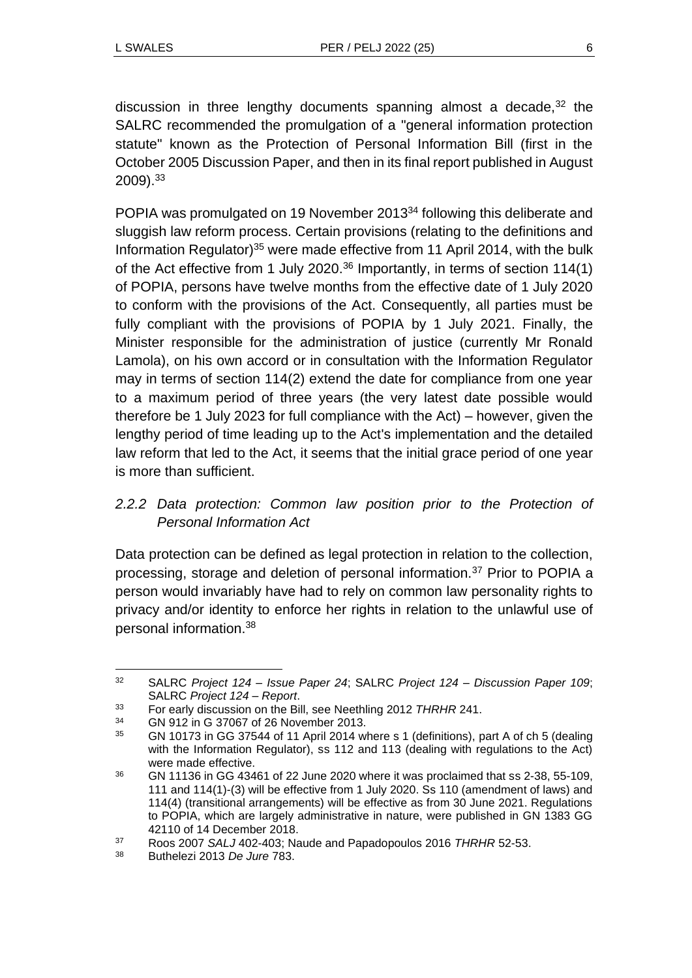discussion in three lengthy documents spanning almost a decade, $32$  the SALRC recommended the promulgation of a "general information protection statute" known as the Protection of Personal Information Bill (first in the October 2005 Discussion Paper, and then in its final report published in August 2009).<sup>33</sup>

POPIA was promulgated on 19 November 2013<sup>34</sup> following this deliberate and sluggish law reform process. Certain provisions (relating to the definitions and Information Regulator)<sup>35</sup> were made effective from 11 April 2014, with the bulk of the Act effective from 1 July 2020.<sup>36</sup> Importantly, in terms of section 114(1) of POPIA, persons have twelve months from the effective date of 1 July 2020 to conform with the provisions of the Act. Consequently, all parties must be fully compliant with the provisions of POPIA by 1 July 2021. Finally, the Minister responsible for the administration of justice (currently Mr Ronald Lamola), on his own accord or in consultation with the Information Regulator may in terms of section 114(2) extend the date for compliance from one year to a maximum period of three years (the very latest date possible would therefore be 1 July 2023 for full compliance with the Act) – however, given the lengthy period of time leading up to the Act's implementation and the detailed law reform that led to the Act, it seems that the initial grace period of one year is more than sufficient.

## *2.2.2 Data protection: Common law position prior to the Protection of Personal Information Act*

Data protection can be defined as legal protection in relation to the collection, processing, storage and deletion of personal information.<sup>37</sup> Prior to POPIA a person would invariably have had to rely on common law personality rights to privacy and/or identity to enforce her rights in relation to the unlawful use of personal information.<sup>38</sup>

<sup>32</sup> SALRC *Project 124 – Issue Paper 24*; SALRC *Project 124 – Discussion Paper 109*; SALRC *Project 124 – Report*.

<sup>33</sup> For early discussion on the Bill, see Neethling 2012 *THRHR* 241.

<sup>34</sup> GN 912 in G 37067 of 26 November 2013.

<sup>35</sup> GN 10173 in GG 37544 of 11 April 2014 where s 1 (definitions), part A of ch 5 (dealing with the Information Regulator), ss 112 and 113 (dealing with regulations to the Act) were made effective.

<sup>36</sup> GN 11136 in GG 43461 of 22 June 2020 where it was proclaimed that ss 2-38, 55-109, 111 and 114(1)-(3) will be effective from 1 July 2020. Ss 110 (amendment of laws) and 114(4) (transitional arrangements) will be effective as from 30 June 2021. Regulations to POPIA, which are largely administrative in nature, were published in GN 1383 GG 42110 of 14 December 2018.

<sup>37</sup> Roos 2007 *SALJ* 402-403; Naude and Papadopoulos 2016 *THRHR* 52-53.

<sup>38</sup> Buthelezi 2013 *De Jure* 783.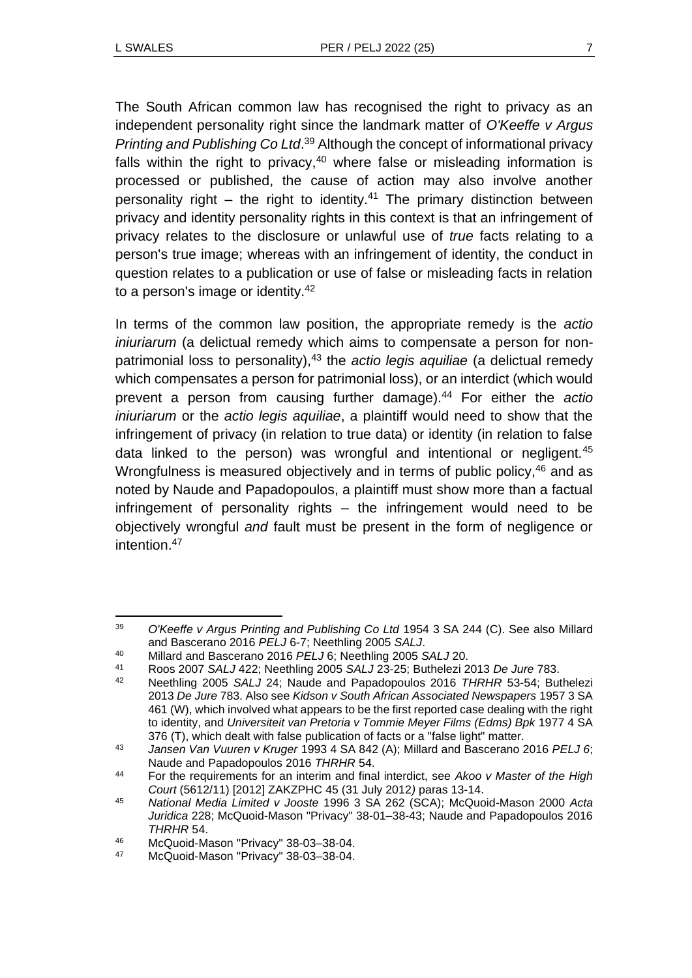The South African common law has recognised the right to privacy as an independent personality right since the landmark matter of *O'Keeffe v Argus Printing and Publishing Co Ltd*. <sup>39</sup> Although the concept of informational privacy falls within the right to privacy, $40$  where false or misleading information is processed or published, the cause of action may also involve another personality right – the right to identity.<sup>41</sup> The primary distinction between privacy and identity personality rights in this context is that an infringement of privacy relates to the disclosure or unlawful use of *true* facts relating to a person's true image; whereas with an infringement of identity, the conduct in question relates to a publication or use of false or misleading facts in relation to a person's image or identity.<sup>42</sup>

In terms of the common law position, the appropriate remedy is the *actio iniuriarum* (a delictual remedy which aims to compensate a person for nonpatrimonial loss to personality),<sup>43</sup> the *actio legis aquiliae* (a delictual remedy which compensates a person for patrimonial loss), or an interdict (which would prevent a person from causing further damage).<sup>44</sup> For either the *actio iniuriarum* or the *actio legis aquiliae*, a plaintiff would need to show that the infringement of privacy (in relation to true data) or identity (in relation to false data linked to the person) was wrongful and intentional or negligent.<sup>45</sup> Wrongfulness is measured objectively and in terms of public policy, <sup>46</sup> and as noted by Naude and Papadopoulos, a plaintiff must show more than a factual infringement of personality rights – the infringement would need to be objectively wrongful *and* fault must be present in the form of negligence or intention 47

<sup>39</sup> *O'Keeffe v Argus Printing and Publishing Co Ltd* 1954 3 SA 244 (C). See also Millard and Bascerano 2016 *PELJ* 6-7; Neethling 2005 *SALJ*.

<sup>40</sup> Millard and Bascerano 2016 *PELJ* 6; Neethling 2005 *SALJ* 20.

<sup>41</sup> Roos 2007 *SALJ* 422; Neethling 2005 *SALJ* 23-25; Buthelezi 2013 *De Jure* 783.

<sup>42</sup> Neethling 2005 *SALJ* 24; Naude and Papadopoulos 2016 *THRHR* 53-54; Buthelezi 2013 *De Jure* 783. Also see *Kidson v South African Associated Newspapers* 1957 3 SA 461 (W), which involved what appears to be the first reported case dealing with the right to identity, and *Universiteit van Pretoria v Tommie Meyer Films (Edms) Bpk* 1977 4 SA 376 (T), which dealt with false publication of facts or a "false light" matter.

<sup>43</sup> *Jansen Van Vuuren v Kruger* 1993 4 SA 842 (A); Millard and Bascerano 2016 *PELJ 6*; Naude and Papadopoulos 2016 *THRHR* 54.

<sup>44</sup> For the requirements for an interim and final interdict, see *Akoo v Master of the High Court* (5612/11) [2012] ZAKZPHC 45 (31 July 2012*)* paras 13-14.

<sup>45</sup> *National Media Limited v Jooste* 1996 3 SA 262 (SCA); McQuoid-Mason 2000 *Acta Juridica* 228; McQuoid-Mason "Privacy" 38-01–38-43; Naude and Papadopoulos 2016 *THRHR* 54.

<sup>46</sup> McQuoid-Mason "Privacy" 38-03–38-04.

McQuoid-Mason "Privacy" 38-03-38-04.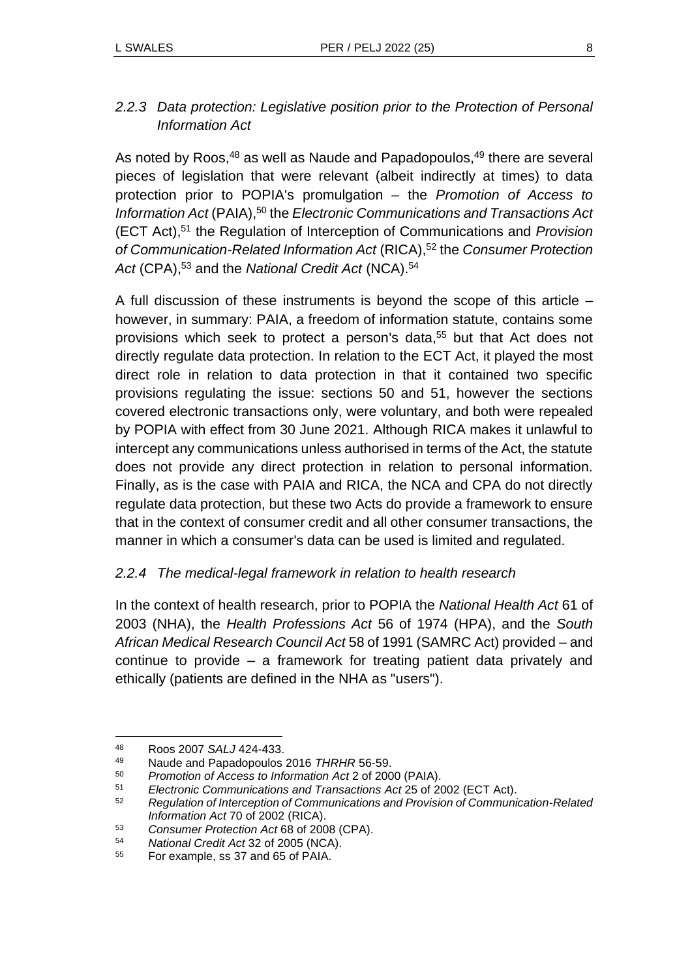## *2.2.3 Data protection: Legislative position prior to the Protection of Personal Information Act*

As noted by Roos, $48$  as well as Naude and Papadopoulos, $49$  there are several pieces of legislation that were relevant (albeit indirectly at times) to data protection prior to POPIA's promulgation – the *Promotion of Access to Information Act* (PAIA),<sup>50</sup> the *Electronic Communications and Transactions Act* (ECT Act),<sup>51</sup> the Regulation of Interception of Communications and *Provision of Communication-Related Information Act* (RICA),<sup>52</sup> the *Consumer Protection*  Act (CPA),<sup>53</sup> and the *National Credit Act* (NCA).<sup>54</sup>

A full discussion of these instruments is beyond the scope of this article – however, in summary: PAIA, a freedom of information statute, contains some provisions which seek to protect a person's data,<sup>55</sup> but that Act does not directly regulate data protection. In relation to the ECT Act, it played the most direct role in relation to data protection in that it contained two specific provisions regulating the issue: sections 50 and 51, however the sections covered electronic transactions only, were voluntary, and both were repealed by POPIA with effect from 30 June 2021. Although RICA makes it unlawful to intercept any communications unless authorised in terms of the Act, the statute does not provide any direct protection in relation to personal information. Finally, as is the case with PAIA and RICA, the NCA and CPA do not directly regulate data protection, but these two Acts do provide a framework to ensure that in the context of consumer credit and all other consumer transactions, the manner in which a consumer's data can be used is limited and regulated.

### *2.2.4 The medical-legal framework in relation to health research*

In the context of health research, prior to POPIA the *National Health Act* 61 of 2003 (NHA), the *Health Professions Act* 56 of 1974 (HPA), and the *South African Medical Research Council Act* 58 of 1991 (SAMRC Act) provided – and continue to provide – a framework for treating patient data privately and ethically (patients are defined in the NHA as "users").

<sup>48</sup> Roos 2007 *SALJ* 424-433.

<sup>49</sup> Naude and Papadopoulos 2016 *THRHR* 56-59.

<sup>50</sup> *Promotion of Access to Information Act* 2 of 2000 (PAIA).

<sup>51</sup> *Electronic Communications and Transactions Act* 25 of 2002 (ECT Act).

<sup>52</sup> *Regulation of Interception of Communications and Provision of Communication-Related Information Act* 70 of 2002 (RICA).

<sup>53</sup> *Consumer Protection Act* 68 of 2008 (CPA).

<sup>54</sup> *National Credit Act* 32 of 2005 (NCA).

<sup>55</sup> For example, ss 37 and 65 of PAIA.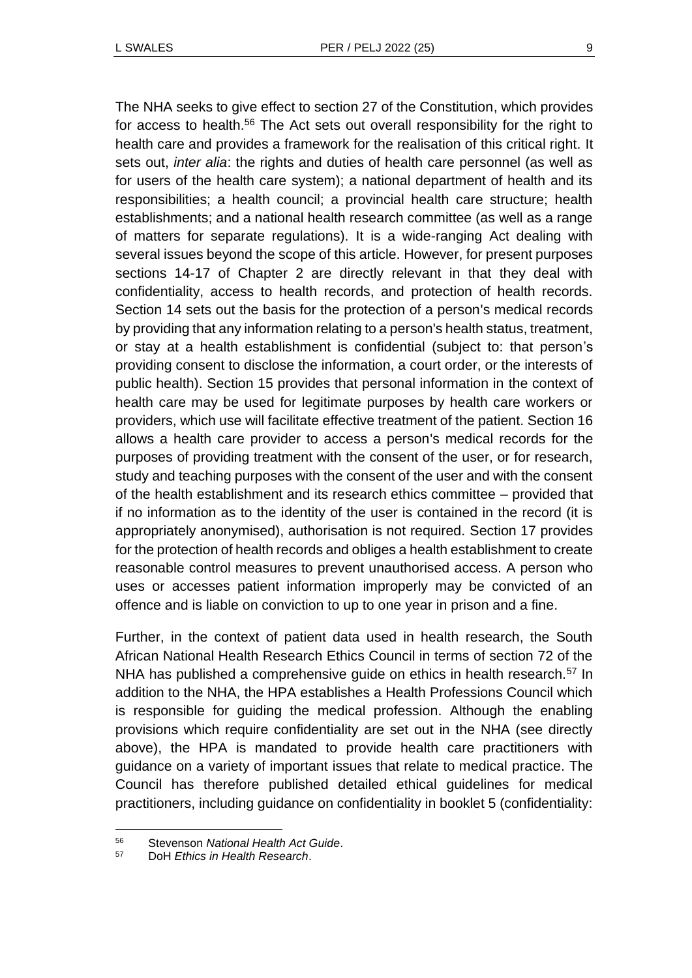The NHA seeks to give effect to section 27 of the Constitution, which provides for access to health.<sup>56</sup> The Act sets out overall responsibility for the right to health care and provides a framework for the realisation of this critical right. It sets out, *inter alia*: the rights and duties of health care personnel (as well as for users of the health care system); a national department of health and its responsibilities; a health council; a provincial health care structure; health establishments; and a national health research committee (as well as a range of matters for separate regulations). It is a wide-ranging Act dealing with several issues beyond the scope of this article. However, for present purposes sections 14-17 of Chapter 2 are directly relevant in that they deal with confidentiality, access to health records, and protection of health records. Section 14 sets out the basis for the protection of a person's medical records by providing that any information relating to a person's health status, treatment, or stay at a health establishment is confidential (subject to: that person's providing consent to disclose the information, a court order, or the interests of public health). Section 15 provides that personal information in the context of health care may be used for legitimate purposes by health care workers or providers, which use will facilitate effective treatment of the patient. Section 16 allows a health care provider to access a person's medical records for the purposes of providing treatment with the consent of the user, or for research, study and teaching purposes with the consent of the user and with the consent of the health establishment and its research ethics committee – provided that if no information as to the identity of the user is contained in the record (it is appropriately anonymised), authorisation is not required. Section 17 provides for the protection of health records and obliges a health establishment to create reasonable control measures to prevent unauthorised access. A person who uses or accesses patient information improperly may be convicted of an offence and is liable on conviction to up to one year in prison and a fine.

Further, in the context of patient data used in health research, the South African National Health Research Ethics Council in terms of section 72 of the NHA has published a comprehensive guide on ethics in health research.<sup>57</sup> In addition to the NHA, the HPA establishes a Health Professions Council which is responsible for guiding the medical profession. Although the enabling provisions which require confidentiality are set out in the NHA (see directly above), the HPA is mandated to provide health care practitioners with guidance on a variety of important issues that relate to medical practice. The Council has therefore published detailed ethical guidelines for medical practitioners, including guidance on confidentiality in booklet 5 (confidentiality:

<sup>56</sup> Stevenson *National Health Act Guide*.

<sup>57</sup> DoH *Ethics in Health Research*.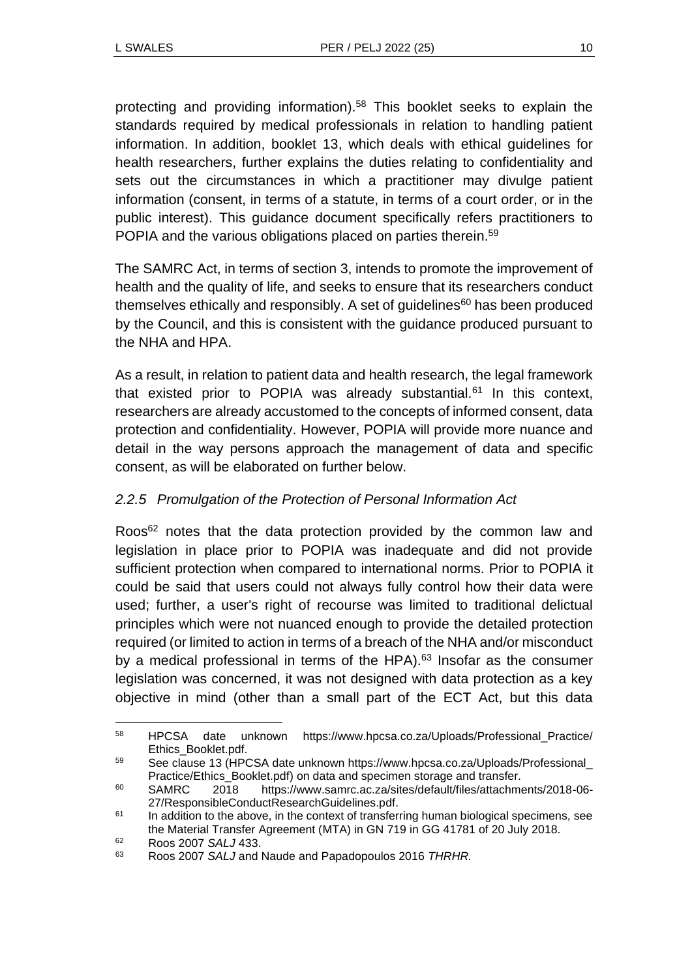protecting and providing information).<sup>58</sup> This booklet seeks to explain the standards required by medical professionals in relation to handling patient information. In addition, booklet 13, which deals with ethical guidelines for health researchers, further explains the duties relating to confidentiality and sets out the circumstances in which a practitioner may divulge patient information (consent, in terms of a statute, in terms of a court order, or in the public interest). This guidance document specifically refers practitioners to POPIA and the various obligations placed on parties therein.<sup>59</sup>

The SAMRC Act, in terms of section 3, intends to promote the improvement of health and the quality of life, and seeks to ensure that its researchers conduct themselves ethically and responsibly. A set of guidelines $60$  has been produced by the Council, and this is consistent with the guidance produced pursuant to the NHA and HPA.

As a result, in relation to patient data and health research, the legal framework that existed prior to POPIA was already substantial.<sup>61</sup> In this context, researchers are already accustomed to the concepts of informed consent, data protection and confidentiality. However, POPIA will provide more nuance and detail in the way persons approach the management of data and specific consent, as will be elaborated on further below.

## *2.2.5 Promulgation of the Protection of Personal Information Act*

Roos<sup>62</sup> notes that the data protection provided by the common law and legislation in place prior to POPIA was inadequate and did not provide sufficient protection when compared to international norms. Prior to POPIA it could be said that users could not always fully control how their data were used; further, a user's right of recourse was limited to traditional delictual principles which were not nuanced enough to provide the detailed protection required (or limited to action in terms of a breach of the NHA and/or misconduct by a medical professional in terms of the HPA).<sup>63</sup> Insofar as the consumer legislation was concerned, it was not designed with data protection as a key objective in mind (other than a small part of the ECT Act, but this data

<sup>58</sup> HPCSA date unknown https://www.hpcsa.co.za/Uploads/Professional\_Practice/ Ethics\_Booklet.pdf.

<sup>59</sup> See clause 13 (HPCSA date unknown https://www.hpcsa.co.za/Uploads/Professional\_ Practice/Ethics\_Booklet.pdf) on data and specimen storage and transfer.

<sup>60</sup> SAMRC 2018 https://www.samrc.ac.za/sites/default/files/attachments/2018-06- 27/ResponsibleConductResearchGuidelines.pdf.

 $61$  In addition to the above, in the context of transferring human biological specimens, see the Material Transfer Agreement (MTA) in GN 719 in GG 41781 of 20 July 2018.

<sup>62</sup> Roos 2007 *SALJ* 433.

<sup>63</sup> Roos 2007 *SALJ* and Naude and Papadopoulos 2016 *THRHR.*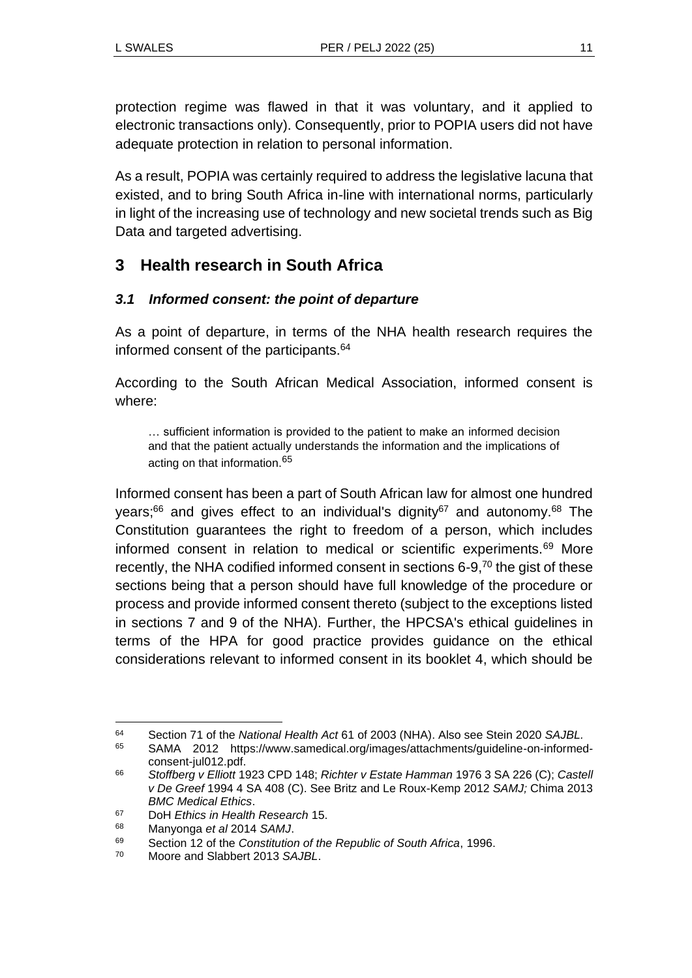protection regime was flawed in that it was voluntary, and it applied to electronic transactions only). Consequently, prior to POPIA users did not have adequate protection in relation to personal information.

As a result, POPIA was certainly required to address the legislative lacuna that existed, and to bring South Africa in-line with international norms, particularly in light of the increasing use of technology and new societal trends such as Big Data and targeted advertising.

## **3 Health research in South Africa**

### *3.1 Informed consent: the point of departure*

As a point of departure, in terms of the NHA health research requires the informed consent of the participants.<sup>64</sup>

According to the South African Medical Association, informed consent is where:

… sufficient information is provided to the patient to make an informed decision and that the patient actually understands the information and the implications of acting on that information.<sup>65</sup>

Informed consent has been a part of South African law for almost one hundred years; $66$  and gives effect to an individual's dignity $67$  and autonomy. $68$  The Constitution guarantees the right to freedom of a person, which includes informed consent in relation to medical or scientific experiments.<sup>69</sup> More recently, the NHA codified informed consent in sections 6-9,<sup>70</sup> the gist of these sections being that a person should have full knowledge of the procedure or process and provide informed consent thereto (subject to the exceptions listed in sections 7 and 9 of the NHA). Further, the HPCSA's ethical guidelines in terms of the HPA for good practice provides guidance on the ethical considerations relevant to informed consent in its booklet 4, which should be

<sup>64</sup> Section 71 of the *National Health Act* 61 of 2003 (NHA). Also see Stein 2020 *SAJBL.*

<sup>65</sup> SAMA 2012 https://www.samedical.org/images/attachments/guideline-on-informedconsent-jul012.pdf.

<sup>66</sup> *Stoffberg v Elliott* 1923 CPD 148; *Richter v Estate Hamman* 1976 3 SA 226 (C); *Castell v De Greef* 1994 4 SA 408 (C). See Britz and Le Roux-Kemp 2012 *SAMJ;* Chima 2013 *BMC Medical Ethics*.

<sup>67</sup> DoH *Ethics in Health Research* 15.

<sup>68</sup> Manyonga *et al* 2014 *SAMJ*.

<sup>69</sup> Section 12 of the *Constitution of the Republic of South Africa*, 1996.

<sup>70</sup> Moore and Slabbert 2013 *SAJBL*.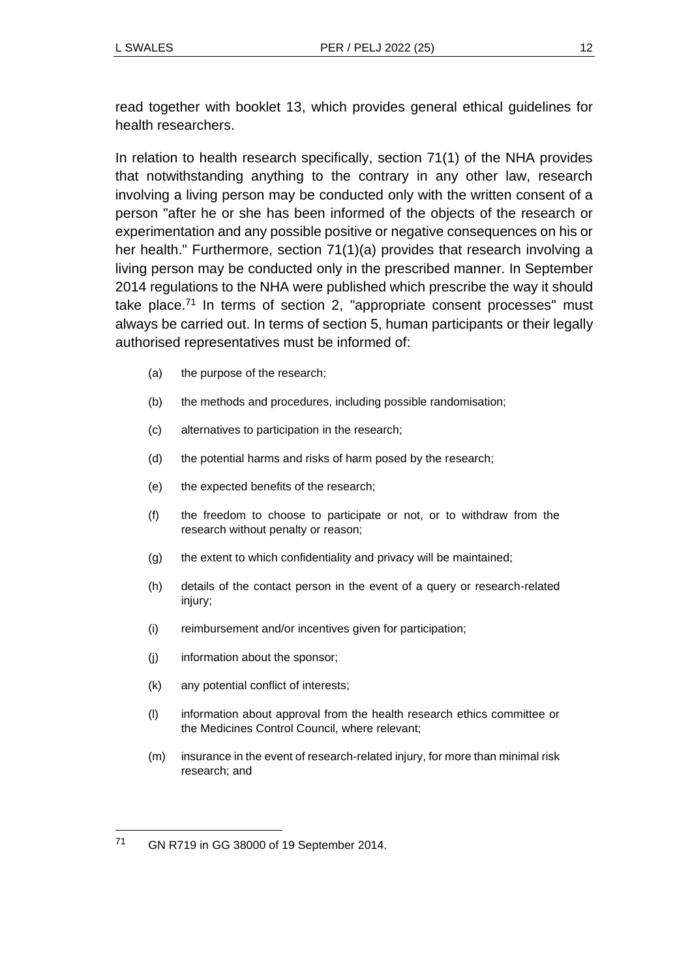read together with booklet 13, which provides general ethical guidelines for health researchers.

In relation to health research specifically, section 71(1) of the NHA provides that notwithstanding anything to the contrary in any other law, research involving a living person may be conducted only with the written consent of a person "after he or she has been informed of the objects of the research or experimentation and any possible positive or negative consequences on his or her health." Furthermore, section 71(1)(a) provides that research involving a living person may be conducted only in the prescribed manner. In September 2014 regulations to the NHA were published which prescribe the way it should take place. $71$  In terms of section 2, "appropriate consent processes" must always be carried out. In terms of section 5, human participants or their legally authorised representatives must be informed of:

- (a) the purpose of the research;
- (b) the methods and procedures, including possible randomisation;
- (c) alternatives to participation in the research;
- (d) the potential harms and risks of harm posed by the research;
- (e) the expected benefits of the research;
- (f) the freedom to choose to participate or not, or to withdraw from the research without penalty or reason;
- (g) the extent to which confidentiality and privacy will be maintained;
- (h) details of the contact person in the event of a query or research-related injury;
- (i) reimbursement and/or incentives given for participation;
- (j) information about the sponsor;
- (k) any potential conflict of interests;
- (l) information about approval from the health research ethics committee or the Medicines Control Council, where relevant;
- (m) insurance in the event of research-related injury, for more than minimal risk research; and

<sup>71</sup> GN R719 in GG 38000 of 19 September 2014.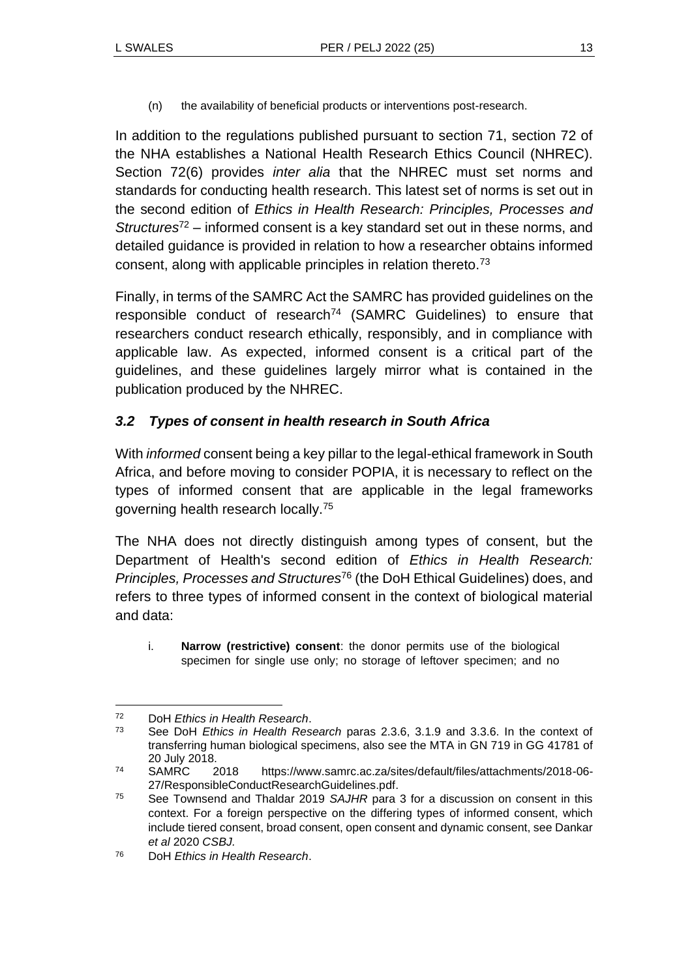(n) the availability of beneficial products or interventions post-research.

In addition to the regulations published pursuant to section 71, section 72 of the NHA establishes a National Health Research Ethics Council (NHREC). Section 72(6) provides *inter alia* that the NHREC must set norms and standards for conducting health research. This latest set of norms is set out in the second edition of *Ethics in Health Research: Principles, Processes and Structures*<sup>72</sup> *–* informed consent is a key standard set out in these norms, and detailed guidance is provided in relation to how a researcher obtains informed consent, along with applicable principles in relation thereto.<sup>73</sup>

Finally, in terms of the SAMRC Act the SAMRC has provided guidelines on the responsible conduct of research<sup>74</sup> (SAMRC Guidelines) to ensure that researchers conduct research ethically, responsibly, and in compliance with applicable law. As expected, informed consent is a critical part of the guidelines, and these guidelines largely mirror what is contained in the publication produced by the NHREC.

### *3.2 Types of consent in health research in South Africa*

With *informed* consent being a key pillar to the legal-ethical framework in South Africa, and before moving to consider POPIA, it is necessary to reflect on the types of informed consent that are applicable in the legal frameworks governing health research locally.<sup>75</sup>

The NHA does not directly distinguish among types of consent, but the Department of Health's second edition of *Ethics in Health Research: Principles, Processes and Structures*<sup>76</sup> (the DoH Ethical Guidelines) does, and refers to three types of informed consent in the context of biological material and data:

i. **Narrow (restrictive) consent**: the donor permits use of the biological specimen for single use only; no storage of leftover specimen; and no

<sup>72</sup> DoH *Ethics in Health Research*.

<sup>73</sup> See DoH *Ethics in Health Research* paras 2.3.6, 3.1.9 and 3.3.6. In the context of transferring human biological specimens, also see the MTA in GN 719 in GG 41781 of 20 July 2018.

<sup>74</sup> SAMRC 2018 https://www.samrc.ac.za/sites/default/files/attachments/2018-06- 27/ResponsibleConductResearchGuidelines.pdf.

<sup>75</sup> See Townsend and Thaldar 2019 *SAJHR* para 3 for a discussion on consent in this context. For a foreign perspective on the differing types of informed consent, which include tiered consent, broad consent, open consent and dynamic consent, see Dankar *et al* 2020 *CSBJ.*

<sup>76</sup> DoH *Ethics in Health Research*.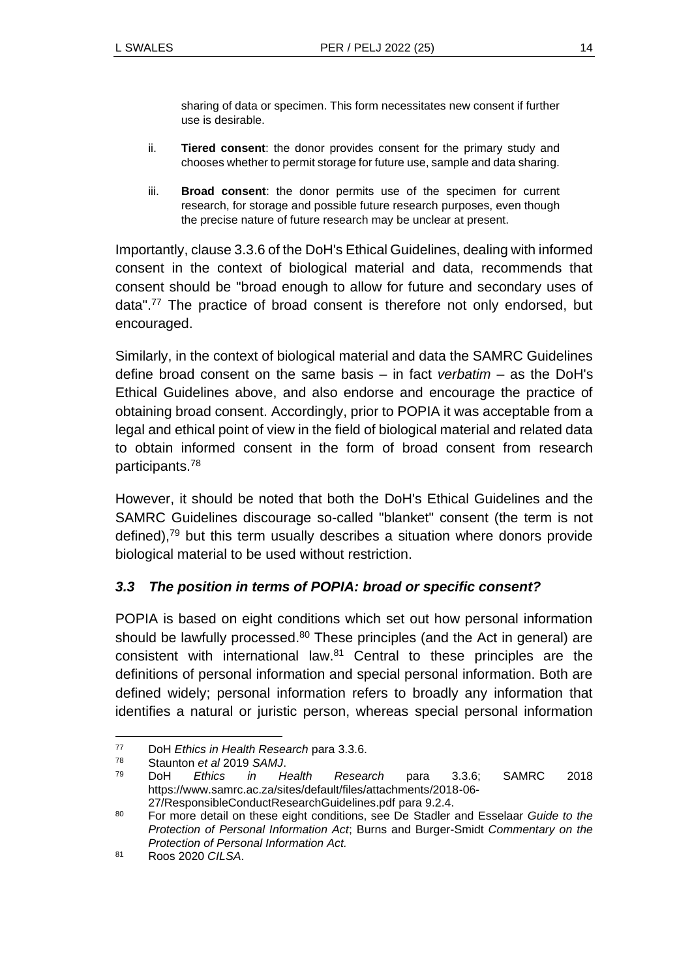sharing of data or specimen. This form necessitates new consent if further use is desirable.

- ii. **Tiered consent**: the donor provides consent for the primary study and chooses whether to permit storage for future use, sample and data sharing.
- iii. **Broad consent**: the donor permits use of the specimen for current research, for storage and possible future research purposes, even though the precise nature of future research may be unclear at present.

Importantly, clause 3.3.6 of the DoH's Ethical Guidelines, dealing with informed consent in the context of biological material and data, recommends that consent should be "broad enough to allow for future and secondary uses of data".<sup>77</sup> The practice of broad consent is therefore not only endorsed, but encouraged.

Similarly, in the context of biological material and data the SAMRC Guidelines define broad consent on the same basis – in fact *verbatim* – as the DoH's Ethical Guidelines above, and also endorse and encourage the practice of obtaining broad consent. Accordingly, prior to POPIA it was acceptable from a legal and ethical point of view in the field of biological material and related data to obtain informed consent in the form of broad consent from research participants.<sup>78</sup>

However, it should be noted that both the DoH's Ethical Guidelines and the SAMRC Guidelines discourage so-called "blanket" consent (the term is not defined), $79$  but this term usually describes a situation where donors provide biological material to be used without restriction.

### *3.3 The position in terms of POPIA: broad or specific consent?*

POPIA is based on eight conditions which set out how personal information should be lawfully processed.<sup>80</sup> These principles (and the Act in general) are consistent with international law.<sup>81</sup> Central to these principles are the definitions of personal information and special personal information. Both are defined widely; personal information refers to broadly any information that identifies a natural or juristic person, whereas special personal information

<sup>77</sup> DoH *Ethics in Health Research* para 3.3.6.

Staunton *et al* 2019 SAMJ.

<sup>79</sup> DoH *Ethics in Health Research* para 3.3.6; SAMRC 2018 https://www.samrc.ac.za/sites/default/files/attachments/2018-06- 27/ResponsibleConductResearchGuidelines.pdf para 9.2.4.

<sup>80</sup> For more detail on these eight conditions, see De Stadler and Esselaar *Guide to the Protection of Personal Information Act*; Burns and Burger-Smidt *Commentary on the Protection of Personal Information Act.*

<sup>81</sup> Roos 2020 *CILSA*.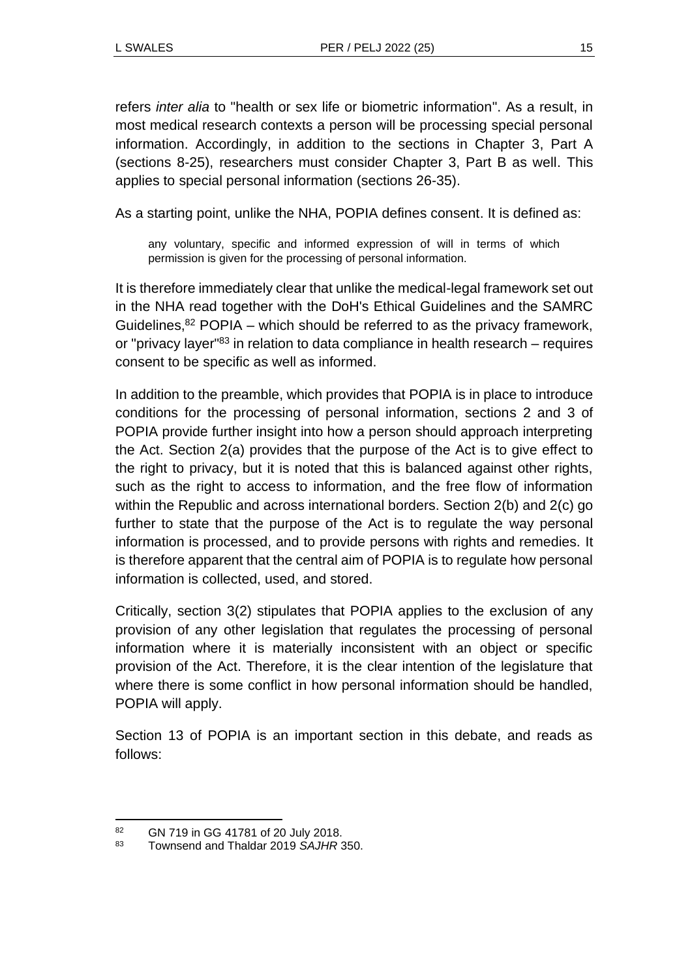refers *inter alia* to "health or sex life or biometric information". As a result, in most medical research contexts a person will be processing special personal information. Accordingly, in addition to the sections in Chapter 3, Part A (sections 8-25), researchers must consider Chapter 3, Part B as well. This applies to special personal information (sections 26-35).

As a starting point, unlike the NHA, POPIA defines consent. It is defined as:

any voluntary, specific and informed expression of will in terms of which permission is given for the processing of personal information.

It is therefore immediately clear that unlike the medical-legal framework set out in the NHA read together with the DoH's Ethical Guidelines and the SAMRC Guidelines. $82$  POPIA – which should be referred to as the privacy framework, or "privacy layer"<sup>83</sup> in relation to data compliance in health research – requires consent to be specific as well as informed.

In addition to the preamble, which provides that POPIA is in place to introduce conditions for the processing of personal information, sections 2 and 3 of POPIA provide further insight into how a person should approach interpreting the Act. Section 2(a) provides that the purpose of the Act is to give effect to the right to privacy, but it is noted that this is balanced against other rights, such as the right to access to information, and the free flow of information within the Republic and across international borders. Section 2(b) and 2(c) go further to state that the purpose of the Act is to regulate the way personal information is processed, and to provide persons with rights and remedies. It is therefore apparent that the central aim of POPIA is to regulate how personal information is collected, used, and stored.

Critically, section 3(2) stipulates that POPIA applies to the exclusion of any provision of any other legislation that regulates the processing of personal information where it is materially inconsistent with an object or specific provision of the Act. Therefore, it is the clear intention of the legislature that where there is some conflict in how personal information should be handled, POPIA will apply.

Section 13 of POPIA is an important section in this debate, and reads as follows:

 $\frac{82}{10}$  GN 719 in GG 41781 of 20 July 2018.

<sup>83</sup> Townsend and Thaldar 2019 *SAJHR* 350.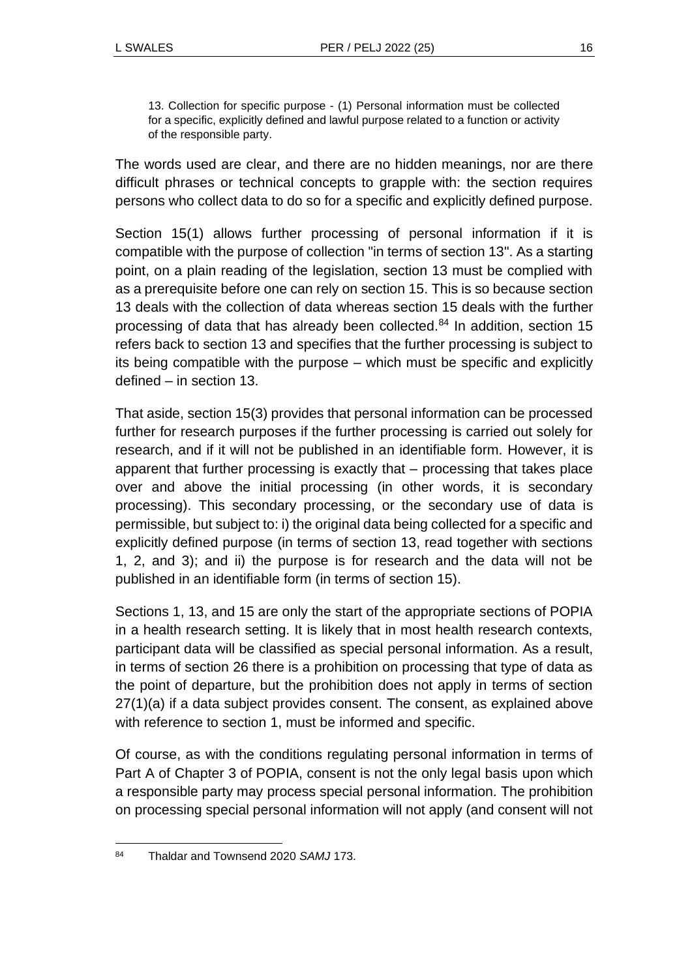13. Collection for specific purpose - (1) Personal information must be collected for a specific, explicitly defined and lawful purpose related to a function or activity of the responsible party.

The words used are clear, and there are no hidden meanings, nor are there difficult phrases or technical concepts to grapple with: the section requires persons who collect data to do so for a specific and explicitly defined purpose.

Section 15(1) allows further processing of personal information if it is compatible with the purpose of collection "in terms of section 13". As a starting point, on a plain reading of the legislation, section 13 must be complied with as a prerequisite before one can rely on section 15. This is so because section 13 deals with the collection of data whereas section 15 deals with the further processing of data that has already been collected.<sup>84</sup> In addition, section 15 refers back to section 13 and specifies that the further processing is subject to its being compatible with the purpose – which must be specific and explicitly defined – in section 13.

That aside, section 15(3) provides that personal information can be processed further for research purposes if the further processing is carried out solely for research, and if it will not be published in an identifiable form. However, it is apparent that further processing is exactly that – processing that takes place over and above the initial processing (in other words, it is secondary processing). This secondary processing, or the secondary use of data is permissible, but subject to: i) the original data being collected for a specific and explicitly defined purpose (in terms of section 13, read together with sections 1, 2, and 3); and ii) the purpose is for research and the data will not be published in an identifiable form (in terms of section 15).

Sections 1, 13, and 15 are only the start of the appropriate sections of POPIA in a health research setting. It is likely that in most health research contexts, participant data will be classified as special personal information. As a result, in terms of section 26 there is a prohibition on processing that type of data as the point of departure, but the prohibition does not apply in terms of section 27(1)(a) if a data subject provides consent. The consent, as explained above with reference to section 1, must be informed and specific.

Of course, as with the conditions regulating personal information in terms of Part A of Chapter 3 of POPIA, consent is not the only legal basis upon which a responsible party may process special personal information. The prohibition on processing special personal information will not apply (and consent will not

<sup>84</sup> Thaldar and Townsend 2020 *SAMJ* 173.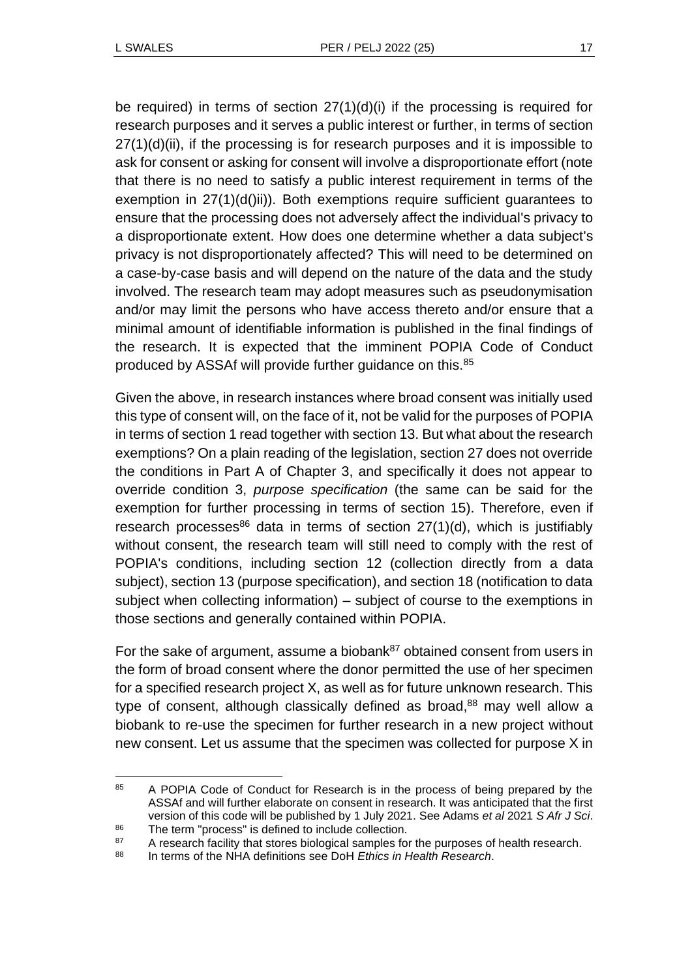be required) in terms of section 27(1)(d)(i) if the processing is required for research purposes and it serves a public interest or further, in terms of section 27(1)(d)(ii), if the processing is for research purposes and it is impossible to ask for consent or asking for consent will involve a disproportionate effort (note that there is no need to satisfy a public interest requirement in terms of the exemption in 27(1)(d()ii)). Both exemptions require sufficient quarantees to ensure that the processing does not adversely affect the individual's privacy to a disproportionate extent. How does one determine whether a data subject's privacy is not disproportionately affected? This will need to be determined on a case-by-case basis and will depend on the nature of the data and the study involved. The research team may adopt measures such as pseudonymisation and/or may limit the persons who have access thereto and/or ensure that a minimal amount of identifiable information is published in the final findings of the research. It is expected that the imminent POPIA Code of Conduct produced by ASSAf will provide further guidance on this.<sup>85</sup>

Given the above, in research instances where broad consent was initially used this type of consent will, on the face of it, not be valid for the purposes of POPIA in terms of section 1 read together with section 13. But what about the research exemptions? On a plain reading of the legislation, section 27 does not override the conditions in Part A of Chapter 3, and specifically it does not appear to override condition 3, *purpose specification* (the same can be said for the exemption for further processing in terms of section 15). Therefore, even if research processes<sup>86</sup> data in terms of section  $27(1)(d)$ , which is justifiably without consent, the research team will still need to comply with the rest of POPIA's conditions, including section 12 (collection directly from a data subject), section 13 (purpose specification), and section 18 (notification to data subject when collecting information) – subject of course to the exemptions in those sections and generally contained within POPIA.

For the sake of argument, assume a biobank<sup>87</sup> obtained consent from users in the form of broad consent where the donor permitted the use of her specimen for a specified research project X, as well as for future unknown research. This type of consent, although classically defined as broad,<sup>88</sup> may well allow a biobank to re-use the specimen for further research in a new project without new consent. Let us assume that the specimen was collected for purpose X in

<sup>85</sup> A POPIA Code of Conduct for Research is in the process of being prepared by the ASSAf and will further elaborate on consent in research. It was anticipated that the first version of this code will be published by 1 July 2021. See Adams *et al* 2021 *S Afr J Sci*. 86 The term "process" is defined to include collection.

<sup>&</sup>lt;sup>87</sup> A research facility that stores biological samples for the purposes of health research.

<sup>88</sup> In terms of the NHA definitions see DoH *Ethics in Health Research*.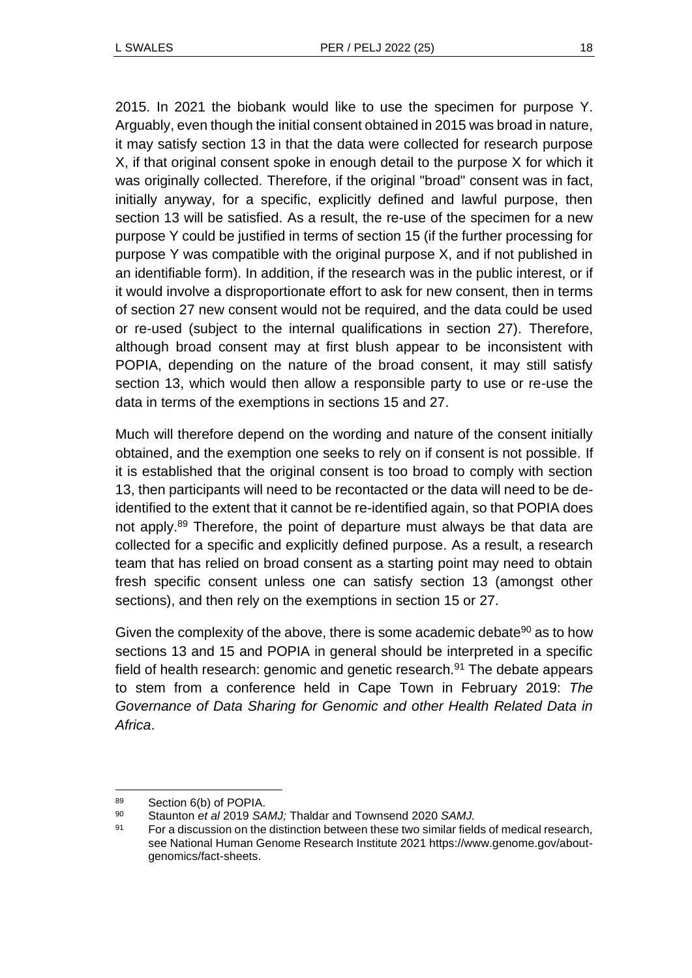2015. In 2021 the biobank would like to use the specimen for purpose Y. Arguably, even though the initial consent obtained in 2015 was broad in nature, it may satisfy section 13 in that the data were collected for research purpose X, if that original consent spoke in enough detail to the purpose X for which it was originally collected. Therefore, if the original "broad" consent was in fact, initially anyway, for a specific, explicitly defined and lawful purpose, then section 13 will be satisfied. As a result, the re-use of the specimen for a new purpose Y could be justified in terms of section 15 (if the further processing for purpose Y was compatible with the original purpose X, and if not published in an identifiable form). In addition, if the research was in the public interest, or if it would involve a disproportionate effort to ask for new consent, then in terms of section 27 new consent would not be required, and the data could be used or re-used (subject to the internal qualifications in section 27). Therefore, although broad consent may at first blush appear to be inconsistent with POPIA, depending on the nature of the broad consent, it may still satisfy section 13, which would then allow a responsible party to use or re-use the data in terms of the exemptions in sections 15 and 27.

Much will therefore depend on the wording and nature of the consent initially obtained, and the exemption one seeks to rely on if consent is not possible. If it is established that the original consent is too broad to comply with section 13, then participants will need to be recontacted or the data will need to be deidentified to the extent that it cannot be re-identified again, so that POPIA does not apply.<sup>89</sup> Therefore, the point of departure must always be that data are collected for a specific and explicitly defined purpose. As a result, a research team that has relied on broad consent as a starting point may need to obtain fresh specific consent unless one can satisfy section 13 (amongst other sections), and then rely on the exemptions in section 15 or 27.

Given the complexity of the above, there is some academic debate $90$  as to how sections 13 and 15 and POPIA in general should be interpreted in a specific field of health research: genomic and genetic research.<sup>91</sup> The debate appears to stem from a conference held in Cape Town in February 2019: *The Governance of Data Sharing for Genomic and other Health Related Data in Africa*.

<sup>89</sup> Section 6(b) of POPIA.

<sup>90</sup> Staunton *et al* 2019 *SAMJ;* Thaldar and Townsend 2020 *SAMJ.*

<sup>&</sup>lt;sup>91</sup> For a discussion on the distinction between these two similar fields of medical research, see National Human Genome Research Institute 2021 https://www.genome.gov/aboutgenomics/fact-sheets.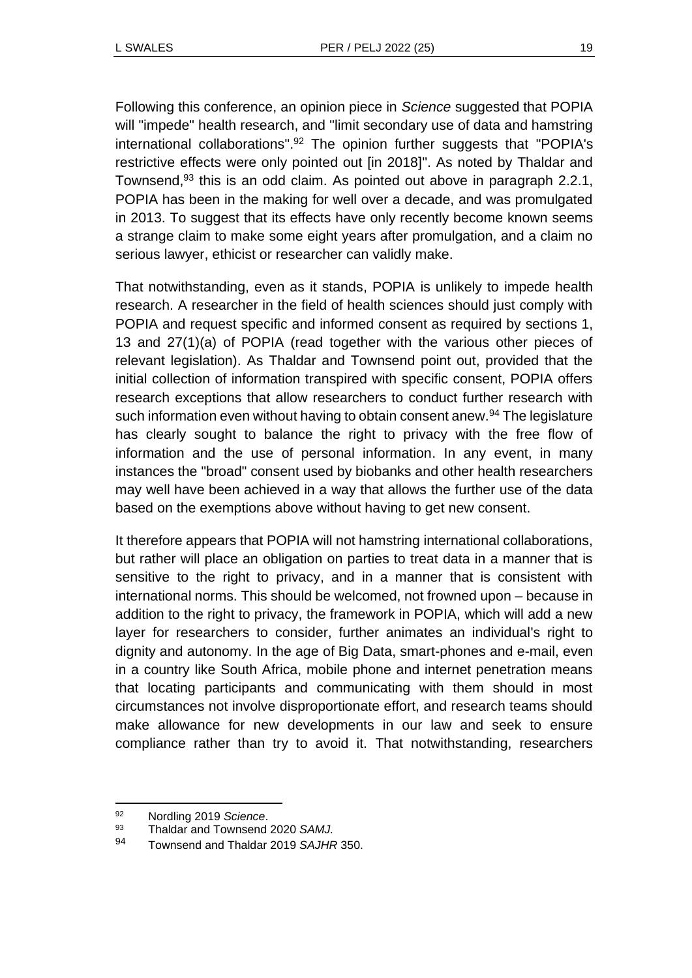Following this conference, an opinion piece in *Science* suggested that POPIA will "impede" health research, and "limit secondary use of data and hamstring international collaborations". <sup>92</sup> The opinion further suggests that "POPIA's restrictive effects were only pointed out [in 2018]". As noted by Thaldar and Townsend,<sup>93</sup> this is an odd claim. As pointed out above in paragraph 2.2.1, POPIA has been in the making for well over a decade, and was promulgated in 2013. To suggest that its effects have only recently become known seems a strange claim to make some eight years after promulgation, and a claim no serious lawyer, ethicist or researcher can validly make.

That notwithstanding, even as it stands, POPIA is unlikely to impede health research. A researcher in the field of health sciences should just comply with POPIA and request specific and informed consent as required by sections 1, 13 and 27(1)(a) of POPIA (read together with the various other pieces of relevant legislation). As Thaldar and Townsend point out, provided that the initial collection of information transpired with specific consent, POPIA offers research exceptions that allow researchers to conduct further research with such information even without having to obtain consent anew.<sup>94</sup> The legislature has clearly sought to balance the right to privacy with the free flow of information and the use of personal information. In any event, in many instances the "broad" consent used by biobanks and other health researchers may well have been achieved in a way that allows the further use of the data based on the exemptions above without having to get new consent.

It therefore appears that POPIA will not hamstring international collaborations, but rather will place an obligation on parties to treat data in a manner that is sensitive to the right to privacy, and in a manner that is consistent with international norms. This should be welcomed, not frowned upon – because in addition to the right to privacy, the framework in POPIA, which will add a new layer for researchers to consider, further animates an individual's right to dignity and autonomy. In the age of Big Data, smart-phones and e-mail, even in a country like South Africa, mobile phone and internet penetration means that locating participants and communicating with them should in most circumstances not involve disproportionate effort, and research teams should make allowance for new developments in our law and seek to ensure compliance rather than try to avoid it. That notwithstanding, researchers

<sup>92</sup> Nordling 2019 *Science*.

<sup>93</sup> Thaldar and Townsend 2020 *SAMJ.*

<sup>94</sup> Townsend and Thaldar 2019 *SAJHR* 350.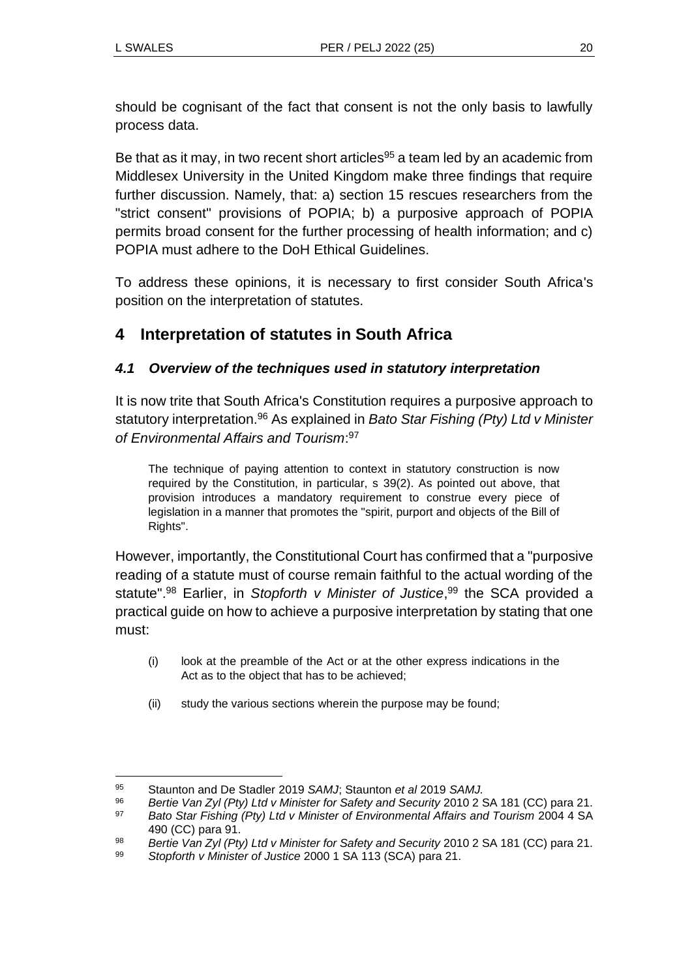should be cognisant of the fact that consent is not the only basis to lawfully process data.

Be that as it may, in two recent short articles<sup>95</sup> a team led by an academic from Middlesex University in the United Kingdom make three findings that require further discussion. Namely, that: a) section 15 rescues researchers from the "strict consent" provisions of POPIA; b) a purposive approach of POPIA permits broad consent for the further processing of health information; and c) POPIA must adhere to the DoH Ethical Guidelines.

To address these opinions, it is necessary to first consider South Africa's position on the interpretation of statutes.

# **4 Interpretation of statutes in South Africa**

## *4.1 Overview of the techniques used in statutory interpretation*

It is now trite that South Africa's Constitution requires a purposive approach to statutory interpretation.<sup>96</sup> As explained in *Bato Star Fishing (Pty) Ltd v Minister of Environmental Affairs and Tourism*: 97

The technique of paying attention to context in statutory construction is now required by the Constitution, in particular, s 39(2). As pointed out above, that provision introduces a mandatory requirement to construe every piece of legislation in a manner that promotes the "spirit, purport and objects of the Bill of Rights".

However, importantly, the Constitutional Court has confirmed that a "purposive reading of a statute must of course remain faithful to the actual wording of the statute". <sup>98</sup> Earlier, in *Stopforth v Minister of Justice*, <sup>99</sup> the SCA provided a practical guide on how to achieve a purposive interpretation by stating that one must:

- (i) look at the preamble of the Act or at the other express indications in the Act as to the object that has to be achieved;
- (ii) study the various sections wherein the purpose may be found;

<sup>95</sup> Staunton and De Stadler 2019 *SAMJ*; Staunton *et al* 2019 *SAMJ.*

<sup>96</sup> *Bertie Van Zyl (Pty) Ltd v Minister for Safety and Security* 2010 2 SA 181 (CC) para 21.

<sup>97</sup> *Bato Star Fishing (Pty) Ltd v Minister of Environmental Affairs and Tourism* 2004 4 SA 490 (CC) para 91.

<sup>98</sup> *Bertie Van Zyl (Pty) Ltd v Minister for Safety and Security* 2010 2 SA 181 (CC) para 21.

<sup>99</sup> *Stopforth v Minister of Justice* 2000 1 SA 113 (SCA) para 21.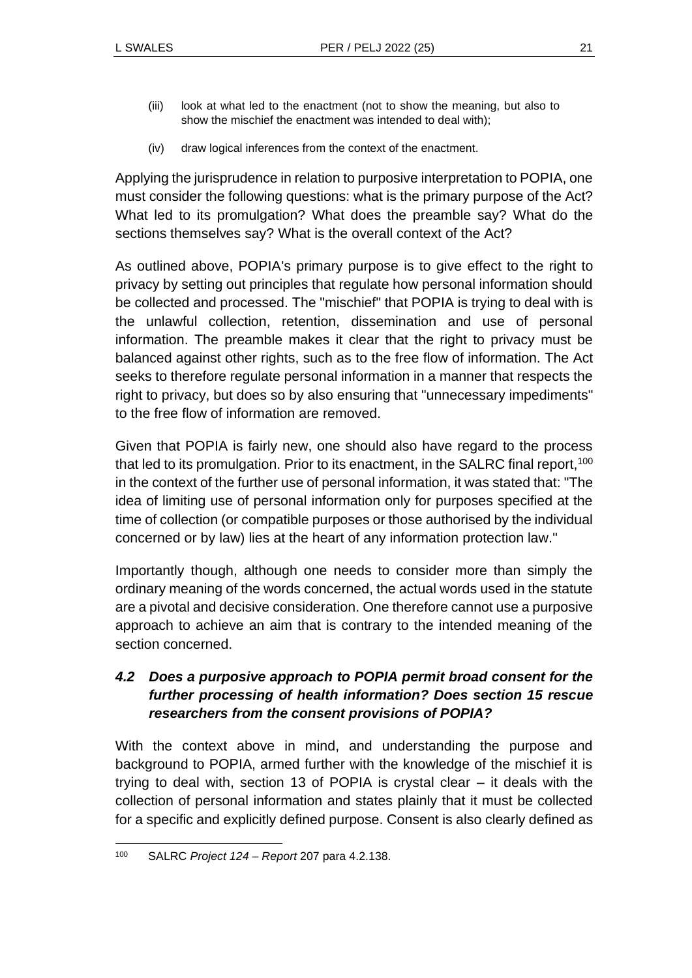- (iii) look at what led to the enactment (not to show the meaning, but also to show the mischief the enactment was intended to deal with);
- (iv) draw logical inferences from the context of the enactment.

Applying the jurisprudence in relation to purposive interpretation to POPIA, one must consider the following questions: what is the primary purpose of the Act? What led to its promulgation? What does the preamble say? What do the sections themselves say? What is the overall context of the Act?

As outlined above, POPIA's primary purpose is to give effect to the right to privacy by setting out principles that regulate how personal information should be collected and processed. The "mischief" that POPIA is trying to deal with is the unlawful collection, retention, dissemination and use of personal information. The preamble makes it clear that the right to privacy must be balanced against other rights, such as to the free flow of information. The Act seeks to therefore regulate personal information in a manner that respects the right to privacy, but does so by also ensuring that "unnecessary impediments" to the free flow of information are removed.

Given that POPIA is fairly new, one should also have regard to the process that led to its promulgation. Prior to its enactment, in the SALRC final report,<sup>100</sup> in the context of the further use of personal information, it was stated that: "The idea of limiting use of personal information only for purposes specified at the time of collection (or compatible purposes or those authorised by the individual concerned or by law) lies at the heart of any information protection law."

Importantly though, although one needs to consider more than simply the ordinary meaning of the words concerned, the actual words used in the statute are a pivotal and decisive consideration. One therefore cannot use a purposive approach to achieve an aim that is contrary to the intended meaning of the section concerned.

## *4.2 Does a purposive approach to POPIA permit broad consent for the further processing of health information? Does section 15 rescue researchers from the consent provisions of POPIA?*

With the context above in mind, and understanding the purpose and background to POPIA, armed further with the knowledge of the mischief it is trying to deal with, section 13 of POPIA is crystal clear – it deals with the collection of personal information and states plainly that it must be collected for a specific and explicitly defined purpose. Consent is also clearly defined as

<sup>100</sup> SALRC *Project 124 – Report* 207 para 4.2.138.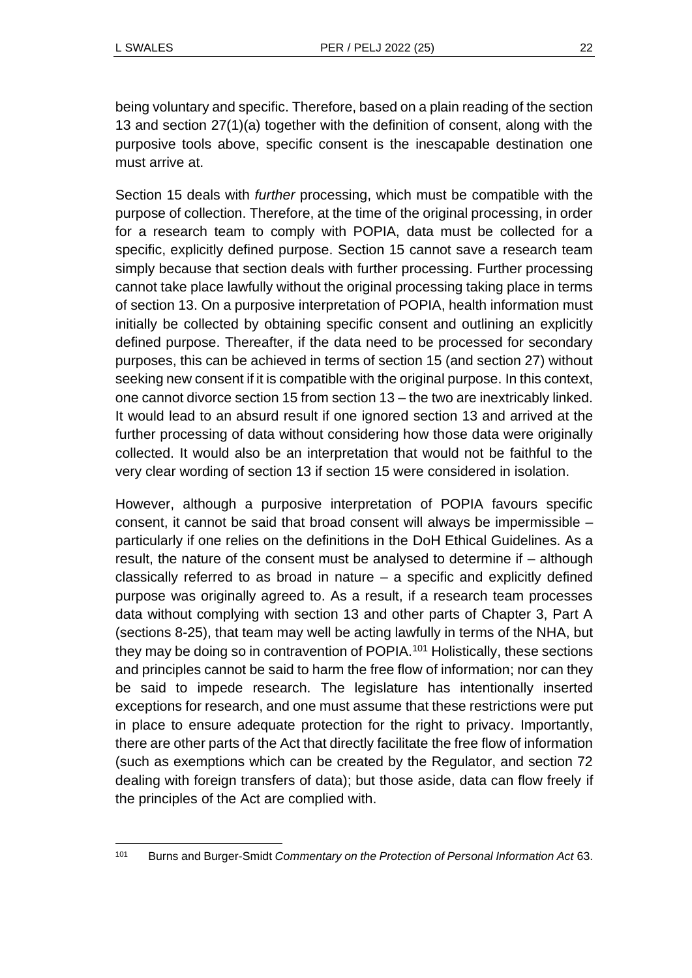being voluntary and specific. Therefore, based on a plain reading of the section 13 and section 27(1)(a) together with the definition of consent, along with the purposive tools above, specific consent is the inescapable destination one must arrive at.

Section 15 deals with *further* processing, which must be compatible with the purpose of collection. Therefore, at the time of the original processing, in order for a research team to comply with POPIA, data must be collected for a specific, explicitly defined purpose. Section 15 cannot save a research team simply because that section deals with further processing. Further processing cannot take place lawfully without the original processing taking place in terms of section 13. On a purposive interpretation of POPIA, health information must initially be collected by obtaining specific consent and outlining an explicitly defined purpose. Thereafter, if the data need to be processed for secondary purposes, this can be achieved in terms of section 15 (and section 27) without seeking new consent if it is compatible with the original purpose. In this context, one cannot divorce section 15 from section 13 – the two are inextricably linked. It would lead to an absurd result if one ignored section 13 and arrived at the further processing of data without considering how those data were originally collected. It would also be an interpretation that would not be faithful to the very clear wording of section 13 if section 15 were considered in isolation.

However, although a purposive interpretation of POPIA favours specific consent, it cannot be said that broad consent will always be impermissible – particularly if one relies on the definitions in the DoH Ethical Guidelines. As a result, the nature of the consent must be analysed to determine if – although classically referred to as broad in nature – a specific and explicitly defined purpose was originally agreed to. As a result, if a research team processes data without complying with section 13 and other parts of Chapter 3, Part A (sections 8-25), that team may well be acting lawfully in terms of the NHA, but they may be doing so in contravention of POPIA.<sup>101</sup> Holistically, these sections and principles cannot be said to harm the free flow of information; nor can they be said to impede research. The legislature has intentionally inserted exceptions for research, and one must assume that these restrictions were put in place to ensure adequate protection for the right to privacy. Importantly, there are other parts of the Act that directly facilitate the free flow of information (such as exemptions which can be created by the Regulator, and section 72 dealing with foreign transfers of data); but those aside, data can flow freely if the principles of the Act are complied with.

<sup>101</sup> Burns and Burger-Smidt *Commentary on the Protection of Personal Information Act* 63.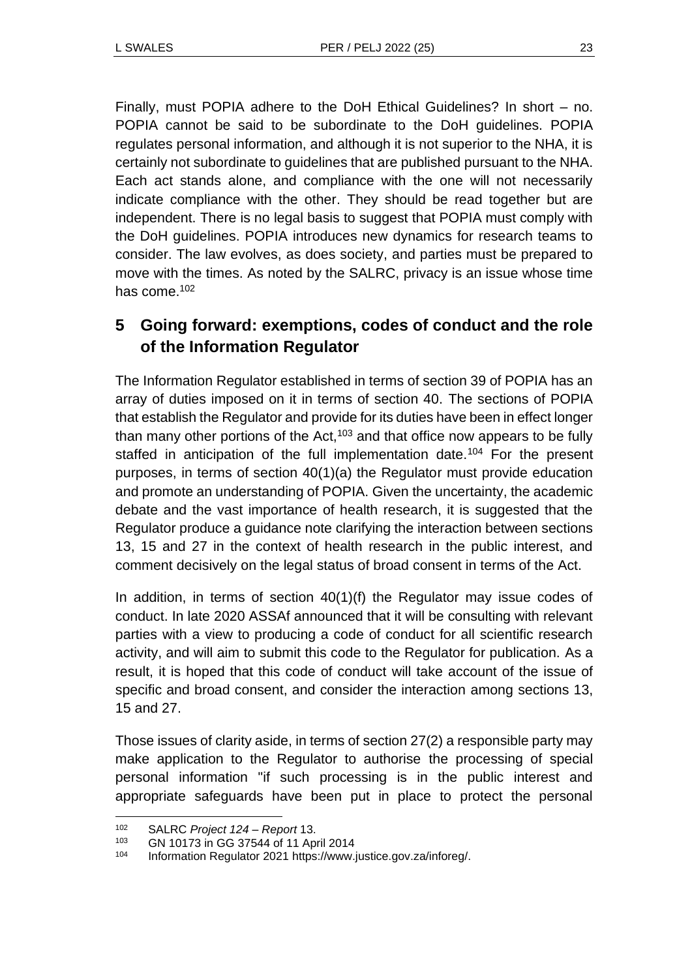Finally, must POPIA adhere to the DoH Ethical Guidelines? In short – no. POPIA cannot be said to be subordinate to the DoH guidelines. POPIA regulates personal information, and although it is not superior to the NHA, it is certainly not subordinate to guidelines that are published pursuant to the NHA. Each act stands alone, and compliance with the one will not necessarily indicate compliance with the other. They should be read together but are independent. There is no legal basis to suggest that POPIA must comply with the DoH guidelines. POPIA introduces new dynamics for research teams to consider. The law evolves, as does society, and parties must be prepared to move with the times. As noted by the SALRC, privacy is an issue whose time has come.<sup>102</sup>

# **5 Going forward: exemptions, codes of conduct and the role of the Information Regulator**

The Information Regulator established in terms of section 39 of POPIA has an array of duties imposed on it in terms of section 40. The sections of POPIA that establish the Regulator and provide for its duties have been in effect longer than many other portions of the Act,  $103$  and that office now appears to be fully staffed in anticipation of the full implementation date.<sup>104</sup> For the present purposes, in terms of section 40(1)(a) the Regulator must provide education and promote an understanding of POPIA. Given the uncertainty, the academic debate and the vast importance of health research, it is suggested that the Regulator produce a guidance note clarifying the interaction between sections 13, 15 and 27 in the context of health research in the public interest, and comment decisively on the legal status of broad consent in terms of the Act.

In addition, in terms of section 40(1)(f) the Regulator may issue codes of conduct. In late 2020 ASSAf announced that it will be consulting with relevant parties with a view to producing a code of conduct for all scientific research activity, and will aim to submit this code to the Regulator for publication. As a result, it is hoped that this code of conduct will take account of the issue of specific and broad consent, and consider the interaction among sections 13, 15 and 27.

Those issues of clarity aside, in terms of section 27(2) a responsible party may make application to the Regulator to authorise the processing of special personal information "if such processing is in the public interest and appropriate safeguards have been put in place to protect the personal

<sup>102</sup> SALRC *Project 124 – Report* 13.

<sup>103</sup> GN 10173 in GG 37544 of 11 April 2014

<sup>104</sup> Information Regulator 2021 https://www.justice.gov.za/inforeg/.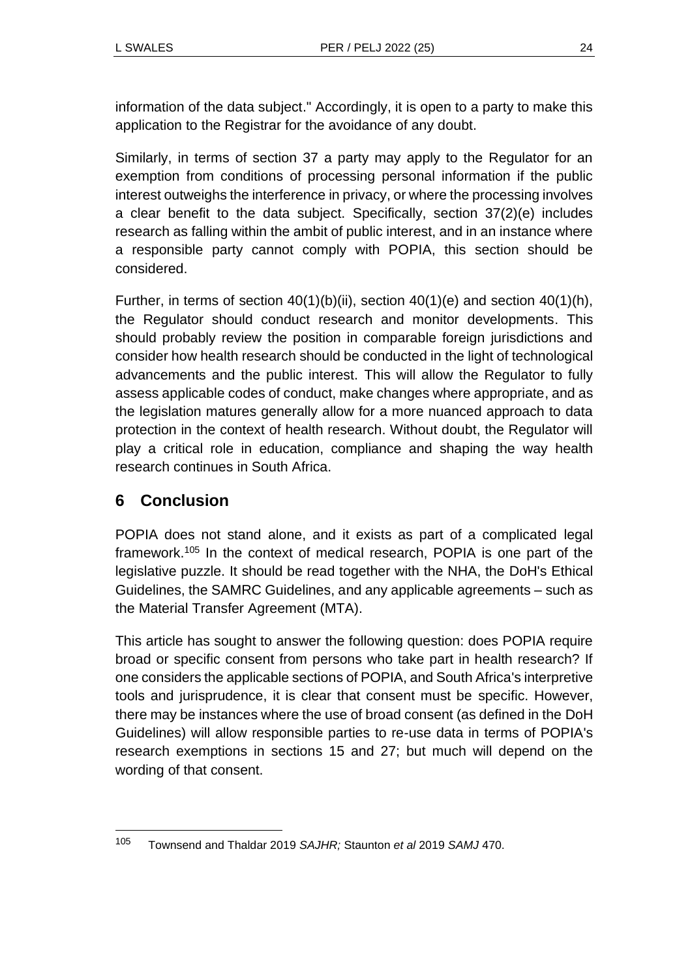information of the data subject." Accordingly, it is open to a party to make this application to the Registrar for the avoidance of any doubt.

Similarly, in terms of section 37 a party may apply to the Regulator for an exemption from conditions of processing personal information if the public interest outweighs the interference in privacy, or where the processing involves a clear benefit to the data subject. Specifically, section 37(2)(e) includes research as falling within the ambit of public interest, and in an instance where a responsible party cannot comply with POPIA, this section should be considered.

Further, in terms of section  $40(1)(b)(ii)$ , section  $40(1)(e)$  and section  $40(1)(h)$ , the Regulator should conduct research and monitor developments. This should probably review the position in comparable foreign jurisdictions and consider how health research should be conducted in the light of technological advancements and the public interest. This will allow the Regulator to fully assess applicable codes of conduct, make changes where appropriate, and as the legislation matures generally allow for a more nuanced approach to data protection in the context of health research. Without doubt, the Regulator will play a critical role in education, compliance and shaping the way health research continues in South Africa.

# **6 Conclusion**

POPIA does not stand alone, and it exists as part of a complicated legal framework.<sup>105</sup> In the context of medical research, POPIA is one part of the legislative puzzle. It should be read together with the NHA, the DoH's Ethical Guidelines, the SAMRC Guidelines, and any applicable agreements – such as the Material Transfer Agreement (MTA).

This article has sought to answer the following question: does POPIA require broad or specific consent from persons who take part in health research? If one considers the applicable sections of POPIA, and South Africa's interpretive tools and jurisprudence, it is clear that consent must be specific. However, there may be instances where the use of broad consent (as defined in the DoH Guidelines) will allow responsible parties to re-use data in terms of POPIA's research exemptions in sections 15 and 27; but much will depend on the wording of that consent.

<sup>105</sup> Townsend and Thaldar 2019 *SAJHR;* Staunton *et al* 2019 *SAMJ* 470.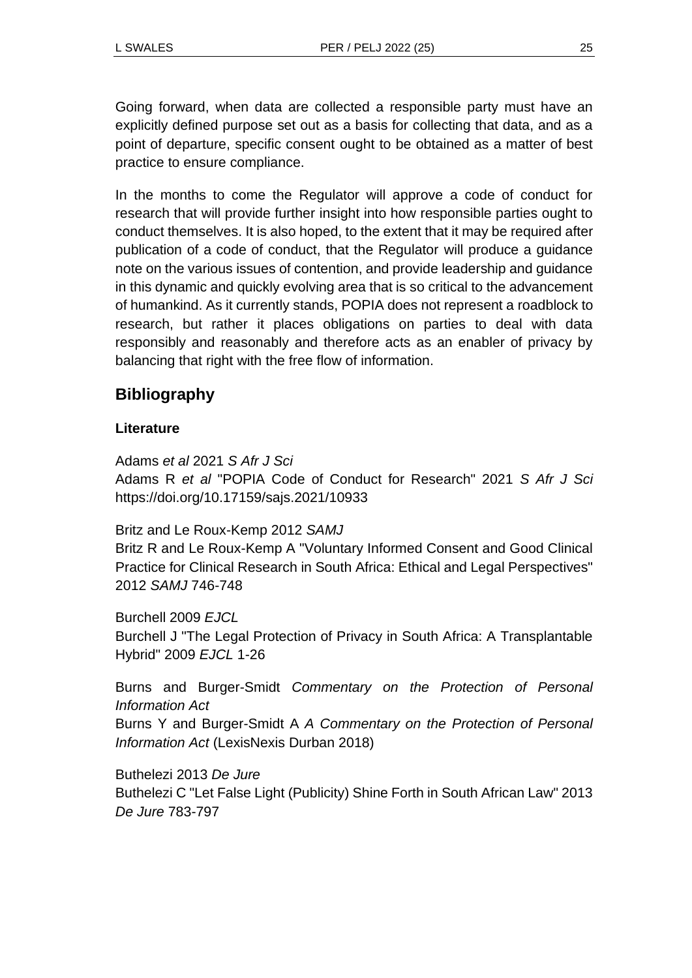Going forward, when data are collected a responsible party must have an explicitly defined purpose set out as a basis for collecting that data, and as a point of departure, specific consent ought to be obtained as a matter of best practice to ensure compliance.

In the months to come the Regulator will approve a code of conduct for research that will provide further insight into how responsible parties ought to conduct themselves. It is also hoped, to the extent that it may be required after publication of a code of conduct, that the Regulator will produce a guidance note on the various issues of contention, and provide leadership and guidance in this dynamic and quickly evolving area that is so critical to the advancement of humankind. As it currently stands, POPIA does not represent a roadblock to research, but rather it places obligations on parties to deal with data responsibly and reasonably and therefore acts as an enabler of privacy by balancing that right with the free flow of information.

## **Bibliography**

### **Literature**

Adams *et al* 2021 *S Afr J Sci* Adams R *et al* "POPIA Code of Conduct for Research" 2021 *S Afr J Sci*  https://doi.org/10.17159/sajs.2021/10933

#### Britz and Le Roux-Kemp 2012 *SAMJ*

Britz R and Le Roux-Kemp A "Voluntary Informed Consent and Good Clinical Practice for Clinical Research in South Africa: Ethical and Legal Perspectives" 2012 *SAMJ* 746-748

Burchell 2009 *EJCL* Burchell J "The Legal Protection of Privacy in South Africa: A Transplantable Hybrid" 2009 *EJCL* 1-26

Burns and Burger-Smidt *Commentary on the Protection of Personal Information Act* Burns Y and Burger-Smidt A *A Commentary on the Protection of Personal Information Act* (LexisNexis Durban 2018)

Buthelezi 2013 *De Jure* Buthelezi C "Let False Light (Publicity) Shine Forth in South African Law" 2013 *De Jure* 783-797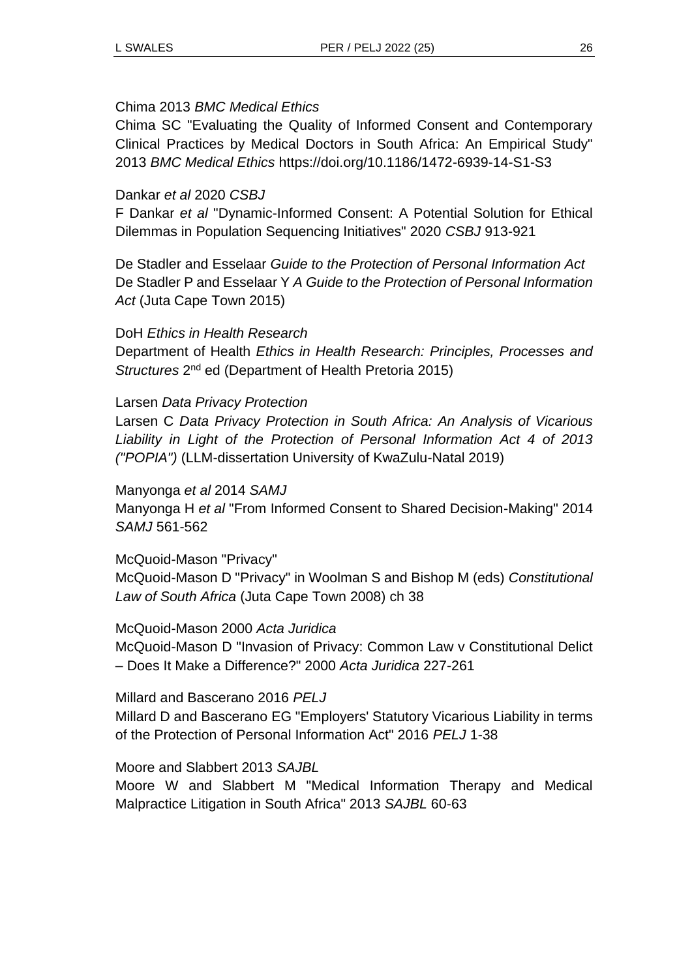#### Chima 2013 *BMC Medical Ethics*

Chima SC "Evaluating the Quality of Informed Consent and Contemporary Clinical Practices by Medical Doctors in South Africa: An Empirical Study" 2013 *BMC Medical Ethics* https://doi.org/10.1186/1472-6939-14-S1-S3

#### Dankar *et al* 2020 *CSBJ*

F Dankar *et al* "Dynamic-Informed Consent: A Potential Solution for Ethical Dilemmas in Population Sequencing Initiatives" 2020 *CSBJ* 913-921

De Stadler and Esselaar *Guide to the Protection of Personal Information Act* De Stadler P and Esselaar Y *A Guide to the Protection of Personal Information Act* (Juta Cape Town 2015)

#### DoH *Ethics in Health Research*

Department of Health *Ethics in Health Research: Principles, Processes and*  Structures 2<sup>nd</sup> ed (Department of Health Pretoria 2015)

#### Larsen *Data Privacy Protection*

Larsen C *Data Privacy Protection in South Africa: An Analysis of Vicarious Liability in Light of the Protection of Personal Information Act 4 of 2013 ("POPIA")* (LLM-dissertation University of KwaZulu-Natal 2019)

#### Manyonga *et al* 2014 *SAMJ*

Manyonga H *et al* "From Informed Consent to Shared Decision-Making" 2014 *SAMJ* 561-562

#### McQuoid-Mason "Privacy"

McQuoid-Mason D "Privacy" in Woolman S and Bishop M (eds) *Constitutional Law of South Africa* (Juta Cape Town 2008) ch 38

#### McQuoid-Mason 2000 *Acta Juridica*

McQuoid-Mason D "Invasion of Privacy: Common Law v Constitutional Delict – Does It Make a Difference?" 2000 *Acta Juridica* 227-261

#### Millard and Bascerano 2016 *PELJ*

Millard D and Bascerano EG "Employers' Statutory Vicarious Liability in terms of the Protection of Personal Information Act" 2016 *PELJ* 1-38

#### Moore and Slabbert 2013 *SAJBL*

Moore W and Slabbert M "Medical Information Therapy and Medical Malpractice Litigation in South Africa" 2013 *SAJBL* 60-63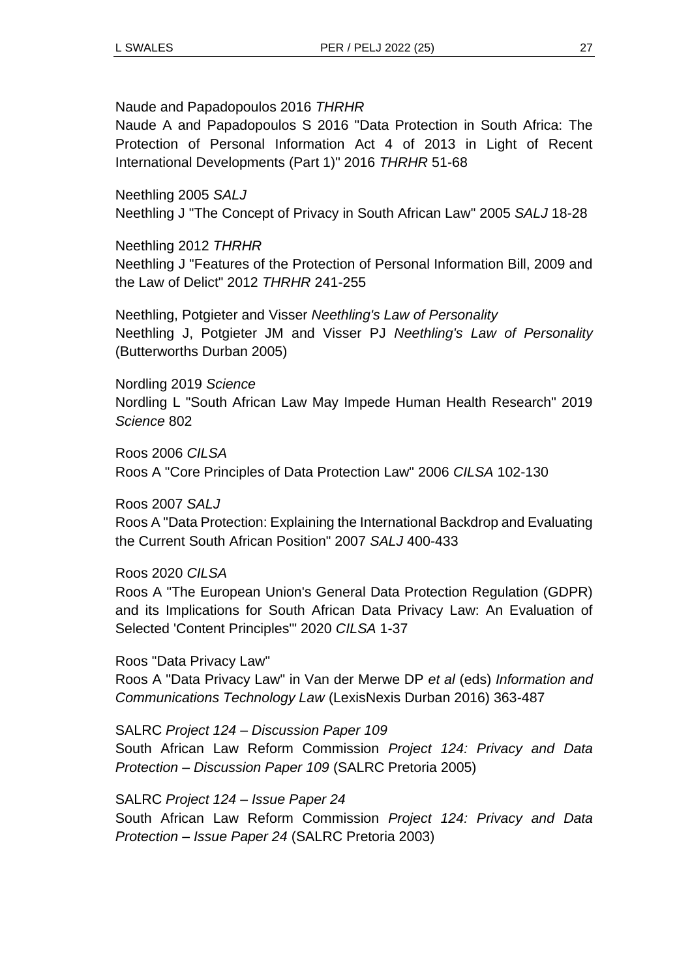Naude and Papadopoulos 2016 *THRHR*

Naude A and Papadopoulos S 2016 "Data Protection in South Africa: The Protection of Personal Information Act 4 of 2013 in Light of Recent International Developments (Part 1)" 2016 *THRHR* 51-68

Neethling 2005 *SALJ* Neethling J "The Concept of Privacy in South African Law" 2005 *SALJ* 18-28

Neethling 2012 *THRHR* Neethling J "Features of the Protection of Personal Information Bill, 2009 and the Law of Delict" 2012 *THRHR* 241-255

Neethling, Potgieter and Visser *Neethling's Law of Personality* Neethling J, Potgieter JM and Visser PJ *Neethling's Law of Personality* (Butterworths Durban 2005)

Nordling 2019 *Science* Nordling L "South African Law May Impede Human Health Research" 2019 *Science* 802

Roos 2006 *CILSA* Roos A "Core Principles of Data Protection Law" 2006 *CILSA* 102-130

Roos 2007 *SALJ*

Roos A "Data Protection: Explaining the International Backdrop and Evaluating the Current South African Position" 2007 *SALJ* 400-433

Roos 2020 *CILSA*

Roos A "The European Union's General Data Protection Regulation (GDPR) and its Implications for South African Data Privacy Law: An Evaluation of Selected 'Content Principles'" 2020 *CILSA* 1-37

Roos "Data Privacy Law"

Roos A "Data Privacy Law" in Van der Merwe DP *et al* (eds) *Information and Communications Technology Law* (LexisNexis Durban 2016) 363-487

SALRC *Project 124 – Discussion Paper 109* South African Law Reform Commission *Project 124: Privacy and Data Protection – Discussion Paper 109* (SALRC Pretoria 2005)

SALRC *Project 124 – Issue Paper 24*

South African Law Reform Commission *Project 124: Privacy and Data Protection – Issue Paper 24* (SALRC Pretoria 2003)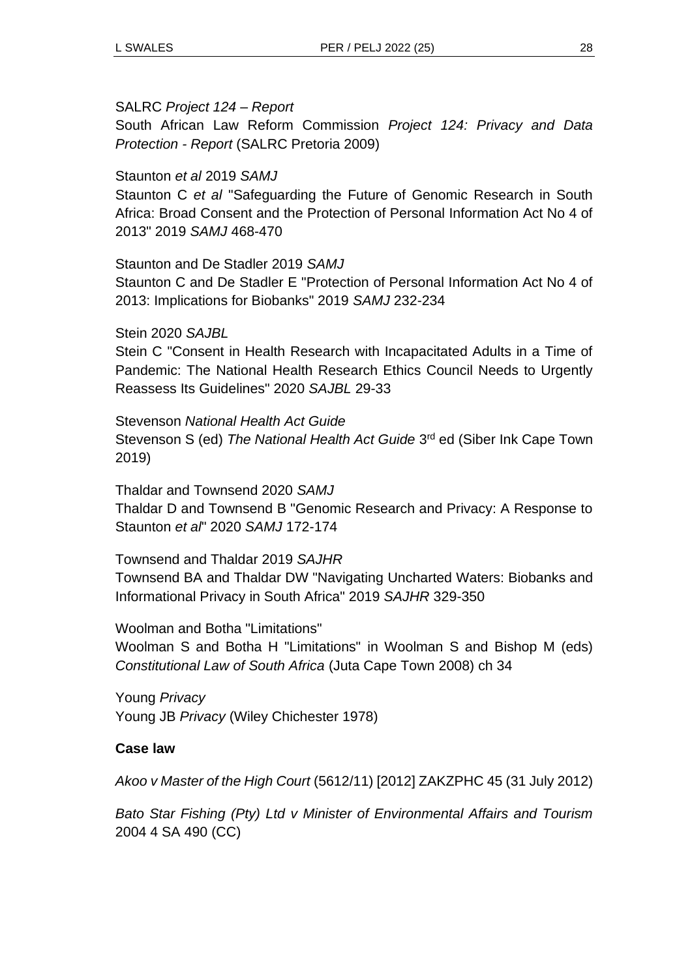#### SALRC *Project 124 – Report*

South African Law Reform Commission *Project 124: Privacy and Data Protection - Report* (SALRC Pretoria 2009)

#### Staunton *et al* 2019 *SAMJ*

Staunton C *et al* "Safeguarding the Future of Genomic Research in South Africa: Broad Consent and the Protection of Personal Information Act No 4 of 2013" 2019 *SAMJ* 468-470

#### Staunton and De Stadler 2019 *SAMJ*

Staunton C and De Stadler E "Protection of Personal Information Act No 4 of 2013: Implications for Biobanks" 2019 *SAMJ* 232-234

#### Stein 2020 *SAJBL*

Stein C "Consent in Health Research with Incapacitated Adults in a Time of Pandemic: The National Health Research Ethics Council Needs to Urgently Reassess Its Guidelines" 2020 *SAJBL* 29-33

Stevenson *National Health Act Guide*

Stevenson S (ed) The National Health Act Guide 3<sup>rd</sup> ed (Siber Ink Cape Town 2019)

Thaldar and Townsend 2020 *SAMJ* Thaldar D and Townsend B "Genomic Research and Privacy: A Response to Staunton *et al*" 2020 *SAMJ* 172-174

#### Townsend and Thaldar 2019 *SAJHR*

Townsend BA and Thaldar DW "Navigating Uncharted Waters: Biobanks and Informational Privacy in South Africa" 2019 *SAJHR* 329-350

Woolman and Botha "Limitations"

Woolman S and Botha H "Limitations" in Woolman S and Bishop M (eds) *Constitutional Law of South Africa* (Juta Cape Town 2008) ch 34

Young *Privacy*  Young JB *Privacy* (Wiley Chichester 1978)

#### **Case law**

*Akoo v Master of the High Court* (5612/11) [2012] ZAKZPHC 45 (31 July 2012)

*Bato Star Fishing (Pty) Ltd v Minister of Environmental Affairs and Tourism* 2004 4 SA 490 (CC)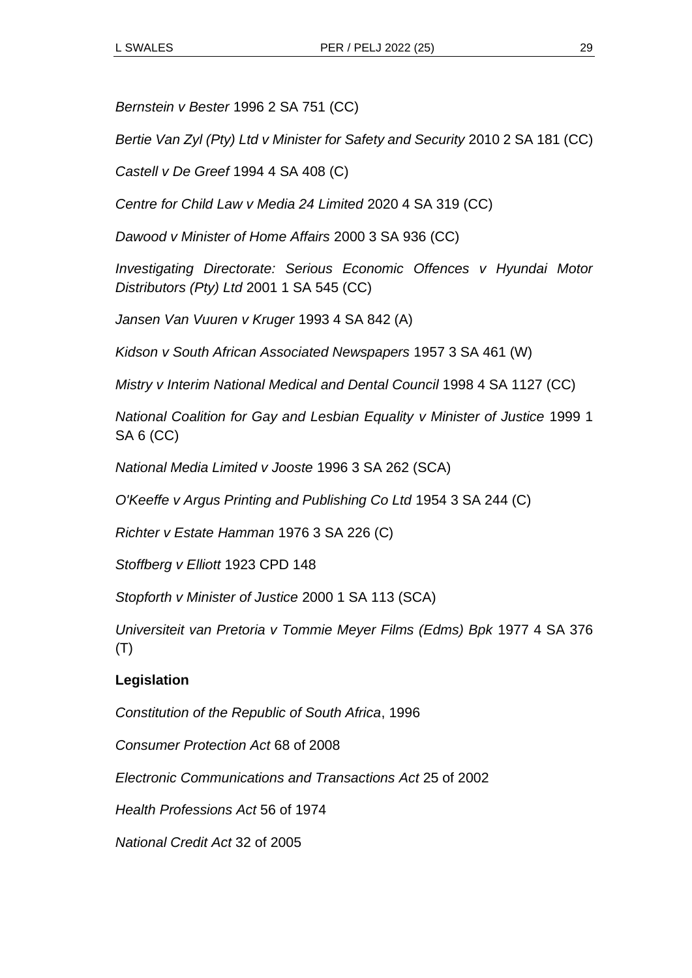*Bernstein v Bester* 1996 2 SA 751 (CC)

*Bertie Van Zyl (Pty) Ltd v Minister for Safety and Security* 2010 2 SA 181 (CC)

*Castell v De Greef* 1994 4 SA 408 (C)

*Centre for Child Law v Media 24 Limited* 2020 4 SA 319 (CC)

*Dawood v Minister of Home Affairs* 2000 3 SA 936 (CC)

*Investigating Directorate: Serious Economic Offences v Hyundai Motor Distributors (Pty) Ltd* 2001 1 SA 545 (CC)

*Jansen Van Vuuren v Kruger* 1993 4 SA 842 (A)

*Kidson v South African Associated Newspapers* 1957 3 SA 461 (W)

*Mistry v Interim National Medical and Dental Council* 1998 4 SA 1127 (CC)

*National Coalition for Gay and Lesbian Equality v Minister of Justice* 1999 1 SA 6 (CC)

*National Media Limited v Jooste* 1996 3 SA 262 (SCA)

*O'Keeffe v Argus Printing and Publishing Co Ltd* 1954 3 SA 244 (C)

*Richter v Estate Hamman* 1976 3 SA 226 (C)

*Stoffberg v Elliott* 1923 CPD 148

*Stopforth v Minister of Justice* 2000 1 SA 113 (SCA)

*Universiteit van Pretoria v Tommie Meyer Films (Edms) Bpk* 1977 4 SA 376 (T)

### **Legislation**

*Constitution of the Republic of South Africa*, 1996

*Consumer Protection Act* 68 of 2008

*Electronic Communications and Transactions Act* 25 of 2002

*Health Professions Act* 56 of 1974

*National Credit Act* 32 of 2005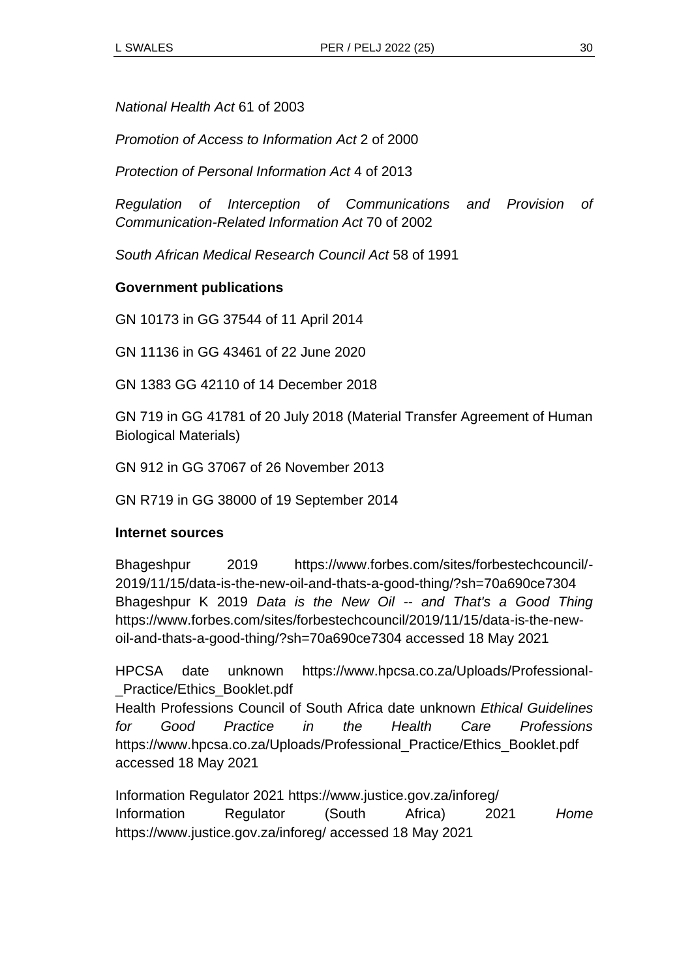*National Health Act* 61 of 2003

*Promotion of Access to Information Act* 2 of 2000

*Protection of Personal Information Act* 4 of 2013

*Regulation of Interception of Communications and Provision of Communication-Related Information Act* 70 of 2002

*South African Medical Research Council Act* 58 of 1991

#### **Government publications**

GN 10173 in GG 37544 of 11 April 2014

GN 11136 in GG 43461 of 22 June 2020

GN 1383 GG 42110 of 14 December 2018

GN 719 in GG 41781 of 20 July 2018 (Material Transfer Agreement of Human Biological Materials)

GN 912 in GG 37067 of 26 November 2013

GN R719 in GG 38000 of 19 September 2014

#### **Internet sources**

Bhageshpur 2019 https://www.forbes.com/sites/forbestechcouncil/- 2019/11/15/data-is-the-new-oil-and-thats-a-good-thing/?sh=70a690ce7304 Bhageshpur K 2019 *Data is the New Oil -- and That's a Good Thing*  https://www.forbes.com/sites/forbestechcouncil/2019/11/15/data-is-the-newoil-and-thats-a-good-thing/?sh=70a690ce7304 accessed 18 May 2021

HPCSA date unknown https://www.hpcsa.co.za/Uploads/Professional- \_Practice/Ethics\_Booklet.pdf

Health Professions Council of South Africa date unknown *Ethical Guidelines for Good Practice in the Health Care Professions* https://www.hpcsa.co.za/Uploads/Professional\_Practice/Ethics\_Booklet.pdf accessed 18 May 2021

Information Regulator 2021 https://www.justice.gov.za/inforeg/ Information Regulator (South Africa) 2021 *Home*  https://www.justice.gov.za/inforeg/ accessed 18 May 2021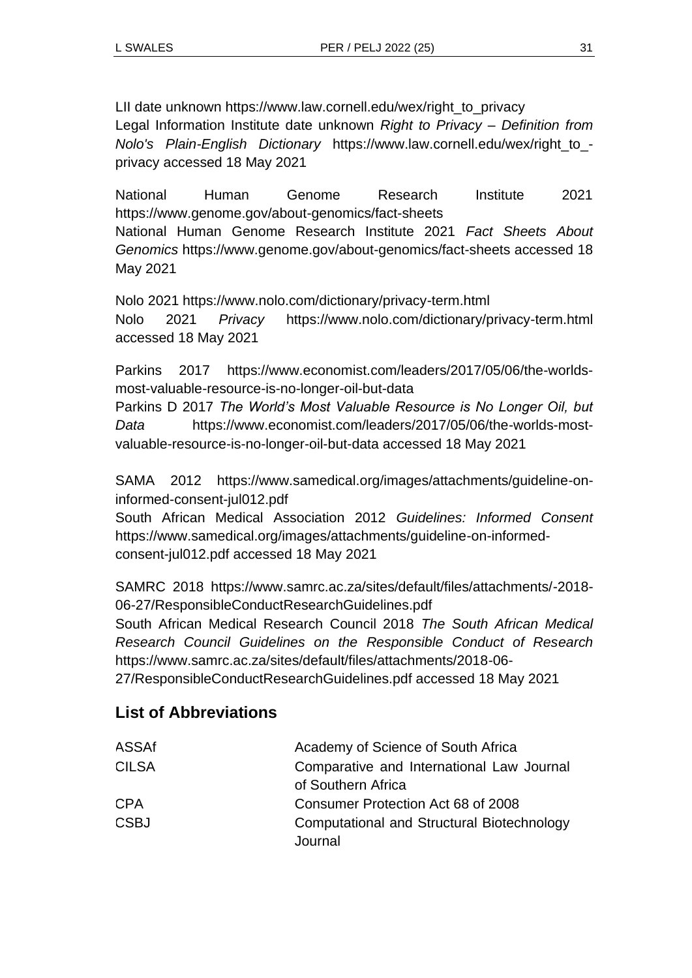LII date unknown https://www.law.cornell.edu/wex/right\_to\_privacy Legal Information Institute date unknown *Right to Privacy – Definition from Nolo's Plain-English Dictionary* https://www.law.cornell.edu/wex/right\_to\_ privacy accessed 18 May 2021

National Human Genome Research Institute 2021 https://www.genome.gov/about-genomics/fact-sheets National Human Genome Research Institute 2021 *Fact Sheets About Genomics* https://www.genome.gov/about-genomics/fact-sheets accessed 18 May 2021

Nolo 2021 https://www.nolo.com/dictionary/privacy-term.html Nolo 2021 *Privacy* https://www.nolo.com/dictionary/privacy-term.html accessed 18 May 2021

Parkins 2017 https://www.economist.com/leaders/2017/05/06/the-worldsmost-valuable-resource-is-no-longer-oil-but-data

Parkins D 2017 *The World's Most Valuable Resource is No Longer Oil, but Data* https://www.economist.com/leaders/2017/05/06/the-worlds-mostvaluable-resource-is-no-longer-oil-but-data accessed 18 May 2021

SAMA 2012 https://www.samedical.org/images/attachments/guideline-oninformed-consent-jul012.pdf

South African Medical Association 2012 *Guidelines: Informed Consent* https://www.samedical.org/images/attachments/guideline-on-informedconsent-jul012.pdf accessed 18 May 2021

SAMRC 2018 https://www.samrc.ac.za/sites/default/files/attachments/-2018- 06-27/ResponsibleConductResearchGuidelines.pdf

South African Medical Research Council 2018 *The South African Medical Research Council Guidelines on the Responsible Conduct of Research* https://www.samrc.ac.za/sites/default/files/attachments/2018-06-

27/ResponsibleConductResearchGuidelines.pdf accessed 18 May 2021

# **List of Abbreviations**

| ASSAf        | Academy of Science of South Africa                    |
|--------------|-------------------------------------------------------|
| <b>CILSA</b> | Comparative and International Law Journal             |
|              | of Southern Africa                                    |
| <b>CPA</b>   | Consumer Protection Act 68 of 2008                    |
| <b>CSBJ</b>  | Computational and Structural Biotechnology<br>Journal |